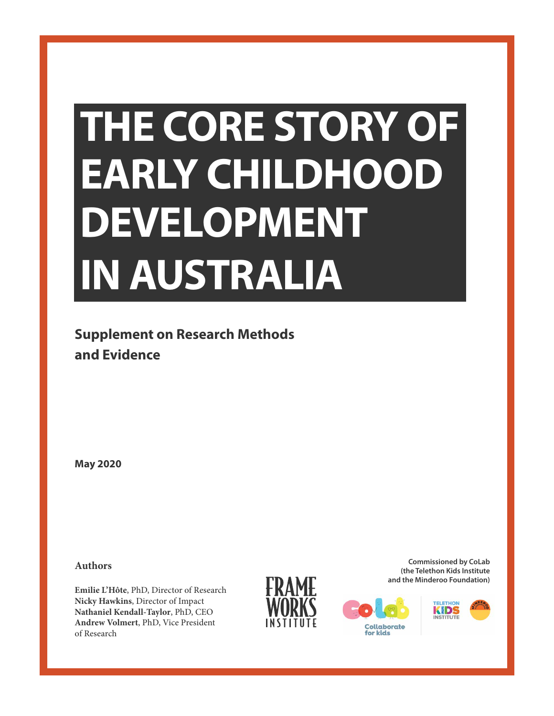# **THE CORE STORY OF EARLY CHILDHOOD DEVELOPMENT IN AUSTRALIA**

**Supplement on Research Methods and Evidence**

**May 2020**

**Authors**

**Emilie L'Hôte**, PhD, Director of Research **Nicky Hawkins**, Director of Impact **Nathaniel Kendall-Taylor**, PhD, CEO **Andrew Volmert**, PhD, Vice President of Research



**Commissioned by CoLab (the Telethon Kids Institute and the Minderoo Foundation)**



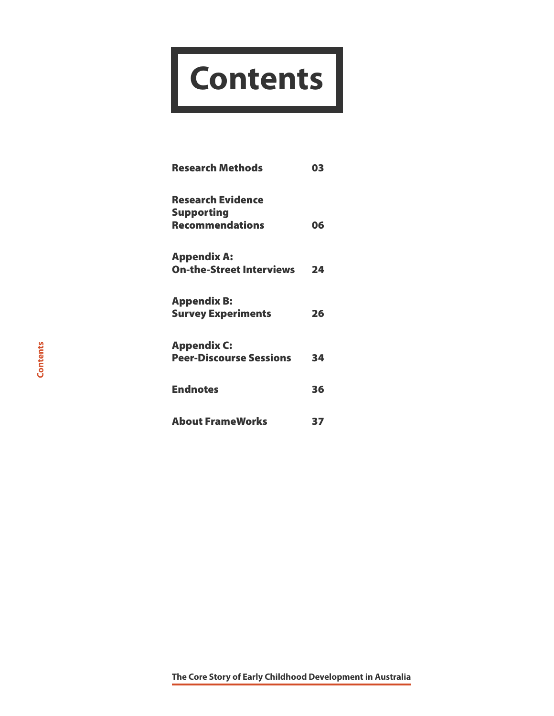# **Contents**

| <b>Research Methods</b>                               | 03 |
|-------------------------------------------------------|----|
| <b>Research Evidence</b><br><b>Supporting</b>         |    |
| <b>Recommendations</b>                                | 06 |
| <b>Appendix A:</b><br><b>On-the-Street Interviews</b> | 24 |
| <b>Appendix B:</b><br><b>Survey Experiments</b>       | 26 |
| <b>Appendix C:</b>                                    |    |
| <b>Peer-Discourse Sessions</b>                        | 34 |
| <b>Endnotes</b>                                       | 36 |
| <b>About FrameWorks</b>                               | 37 |

**The Core Story of Early Childhood Development in Australia**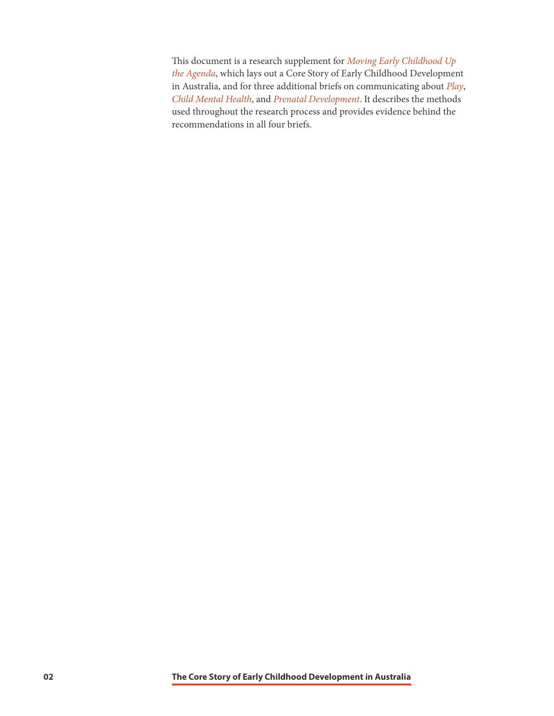This document is a research supplement for *[Moving Early Childhood Up](http://frameworksinstitute.org/assets/files/Australia/colab_strategicbrief_2020.pdf)  [the Agenda](http://frameworksinstitute.org/assets/files/Australia/colab_strategicbrief_2020.pdf)*, which lays out a Core Story of Early Childhood Development in Australia, and for three additional briefs on communicating about *[Play](http://frameworksinstitute.org/assets/files/Australia/colab_playbrief_2020.pdf)*, *[Child Mental Health](http://frameworksinstitute.org/assets/files/Australia/colab_cmhbrief_2020.pdf)*, and *[Prenatal Development](http://frameworksinstitute.org/assets/files/Australia/colab_prenatalbrief_2020.pdf)*. It describes the methods used throughout the research process and provides evidence behind the recommendations in all four briefs.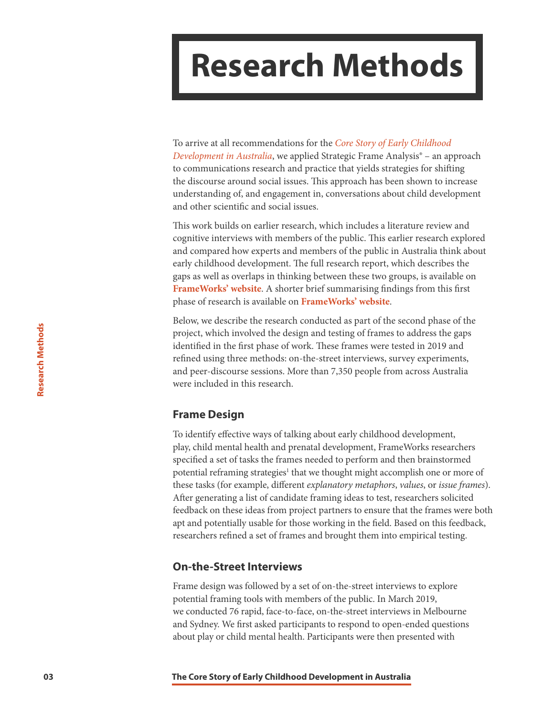### <span id="page-3-0"></span>**Research Methods**

To arrive at all recommendations for the *[Core Story of Early Childhood](http://frameworksinstitute.org/assets/files/Australia/colab_strategicbrief_2020.pdf)  [Development in Australia](http://frameworksinstitute.org/assets/files/Australia/colab_strategicbrief_2020.pdf)*, we applied Strategic Frame Analysis® – an approach to communications research and practice that yields strategies for shifting the discourse around social issues. This approach has been shown to increase understanding of, and engagement in, conversations about child development and other scientific and social issues.

This work builds on earlier research, which includes a literature review and cognitive interviews with members of the public. This earlier research explored and compared how experts and members of the public in Australia think about early childhood development. The full research report, which describes the gaps as well as overlaps in thinking between these two groups, is available on **[FrameWorks' website](http://www.frameworksinstitute.org/assets/files/Australia/colab_mtgreport_2019.pdf)**. A shorter brief summarising findings from this first phase of research is available on **[FrameWorks' website](http://frameworksinstitute.org/assets/files/Australia/colab_brief_2019.pdf)**.

Below, we describe the research conducted as part of the second phase of the project, which involved the design and testing of frames to address the gaps identified in the first phase of work. These frames were tested in 2019 and refined using three methods: on-the-street interviews, survey experiments, and peer-discourse sessions. More than 7,350 people from across Australia were included in this research.

#### **Frame Design**

To identify effective ways of talking about early childhood development, play, child mental health and prenatal development, FrameWorks researchers specified a set of tasks the frames needed to perform and then brainstormed potential reframing strategies<sup>1</sup> that we thought might accomplish one or more of these tasks (for example, different *explanatory metaphors*, *values*, or *issue frames*). After generating a list of candidate framing ideas to test, researchers solicited feedback on these ideas from project partners to ensure that the frames were both apt and potentially usable for those working in the field. Based on this feedback, researchers refined a set of frames and brought them into empirical testing.

#### **On-the-Street Interviews**

Frame design was followed by a set of on-the-street interviews to explore potential framing tools with members of the public. In March 2019, we conducted 76 rapid, face-to-face, on-the-street interviews in Melbourne and Sydney. We first asked participants to respond to open-ended questions about play or child mental health. Participants were then presented with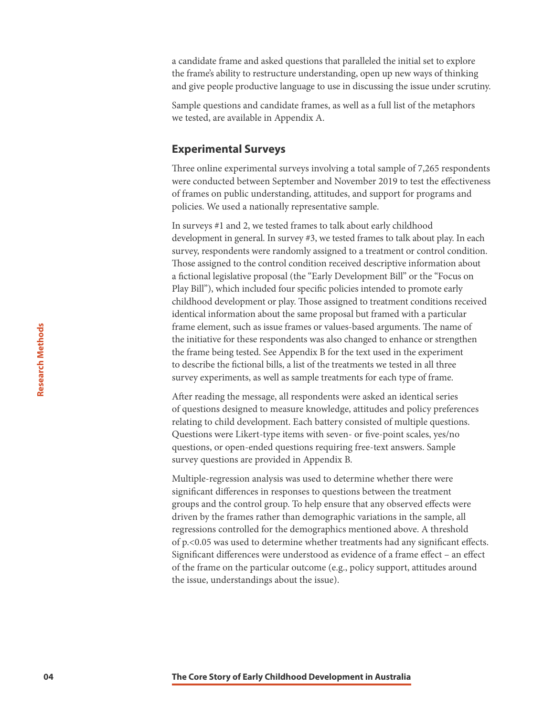a candidate frame and asked questions that paralleled the initial set to explore the frame's ability to restructure understanding, open up new ways of thinking and give people productive language to use in discussing the issue under scrutiny.

Sample questions and candidate frames, as well as a full list of the metaphors we tested, are available in Appendix A.

#### **Experimental Surveys**

Three online experimental surveys involving a total sample of 7,265 respondents were conducted between September and November 2019 to test the effectiveness of frames on public understanding, attitudes, and support for programs and policies. We used a nationally representative sample.

In surveys #1 and 2, we tested frames to talk about early childhood development in general. In survey #3, we tested frames to talk about play. In each survey, respondents were randomly assigned to a treatment or control condition. Those assigned to the control condition received descriptive information about a fictional legislative proposal (the "Early Development Bill" or the "Focus on Play Bill"), which included four specific policies intended to promote early childhood development or play. Those assigned to treatment conditions received identical information about the same proposal but framed with a particular frame element, such as issue frames or values-based arguments. The name of the initiative for these respondents was also changed to enhance or strengthen the frame being tested. See Appendix B for the text used in the experiment to describe the fictional bills, a list of the treatments we tested in all three survey experiments, as well as sample treatments for each type of frame.

After reading the message, all respondents were asked an identical series of questions designed to measure knowledge, attitudes and policy preferences relating to child development. Each battery consisted of multiple questions. Questions were Likert-type items with seven- or five-point scales, yes/no questions, or open-ended questions requiring free-text answers. Sample survey questions are provided in Appendix B.

Multiple-regression analysis was used to determine whether there were significant differences in responses to questions between the treatment groups and the control group. To help ensure that any observed effects were driven by the frames rather than demographic variations in the sample, all regressions controlled for the demographics mentioned above. A threshold of p.<0.05 was used to determine whether treatments had any significant effects. Significant differences were understood as evidence of a frame effect – an effect of the frame on the particular outcome (e.g., policy support, attitudes around the issue, understandings about the issue).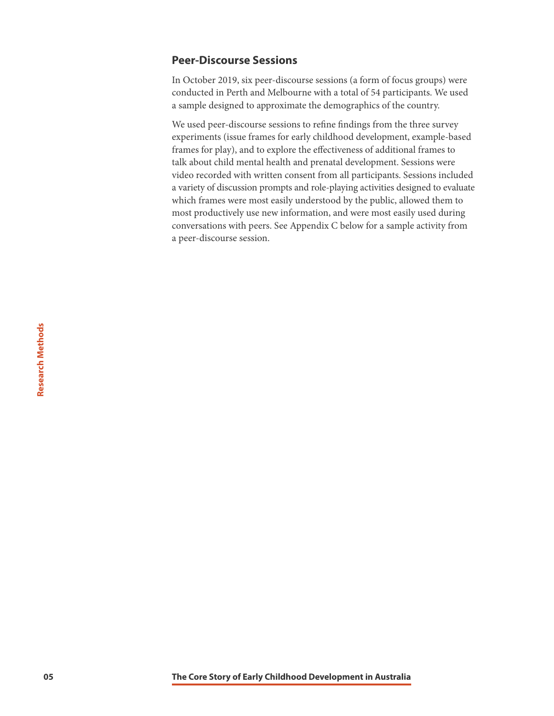#### **Peer-Discourse Sessions**

In October 2019, six peer-discourse sessions (a form of focus groups) were conducted in Perth and Melbourne with a total of 54 participants. We used a sample designed to approximate the demographics of the country.

We used peer-discourse sessions to refine findings from the three survey experiments (issue frames for early childhood development, example-based frames for play), and to explore the effectiveness of additional frames to talk about child mental health and prenatal development. Sessions were video recorded with written consent from all participants. Sessions included a variety of discussion prompts and role-playing activities designed to evaluate which frames were most easily understood by the public, allowed them to most productively use new information, and were most easily used during conversations with peers. See Appendix C below for a sample activity from a peer-discourse session.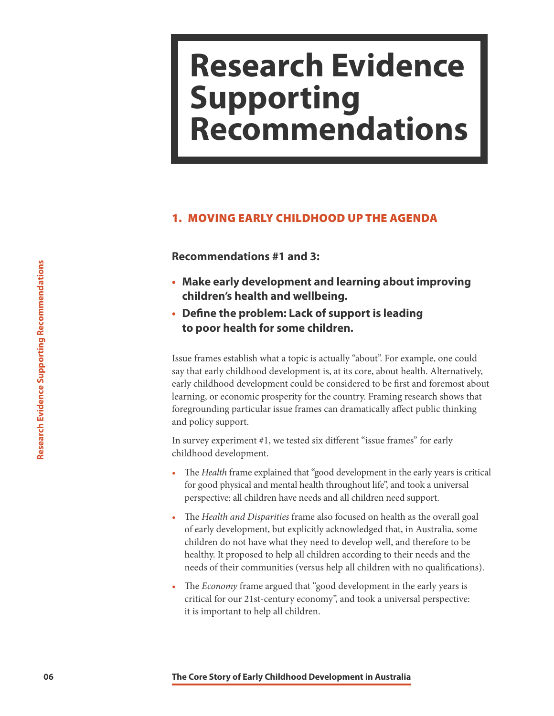### <span id="page-6-0"></span>**Research Evidence Supporting Recommendations**

#### 1. MOVING EARLY CHILDHOOD UP THE AGENDA

**Recommendations #1 and 3:**

- **• Make early development and learning about improving children's health and wellbeing.**
- **• Define the problem: Lack of support is leading to poor health for some children.**

**• Make early development and learning aboutiditem's health and wellbeing.**<br>
• **Define the problem: Lack of support is leading to poor health for some children.**<br> **Exsue frames establish what a topic is actually "about". F** Issue frames establish what a topic is actually "about". For example, one could say that early childhood development is, at its core, about health. Alternatively, early childhood development could be considered to be first and foremost about learning, or economic prosperity for the country. Framing research shows that foregrounding particular issue frames can dramatically affect public thinking and policy support.

In survey experiment #1, we tested six different "issue frames" for early childhood development.

- The *Health* frame explained that "good development in the early years is critical for good physical and mental health throughout life", and took a universal perspective: all children have needs and all children need support.
- The *Health and Disparities* frame also focused on health as the overall goal of early development, but explicitly acknowledged that, in Australia, some children do not have what they need to develop well, and therefore to be healthy. It proposed to help all children according to their needs and the needs of their communities (versus help all children with no qualifications).
- The *Economy* frame argued that "good development in the early years is critical for our 21st-century economy", and took a universal perspective: it is important to help all children.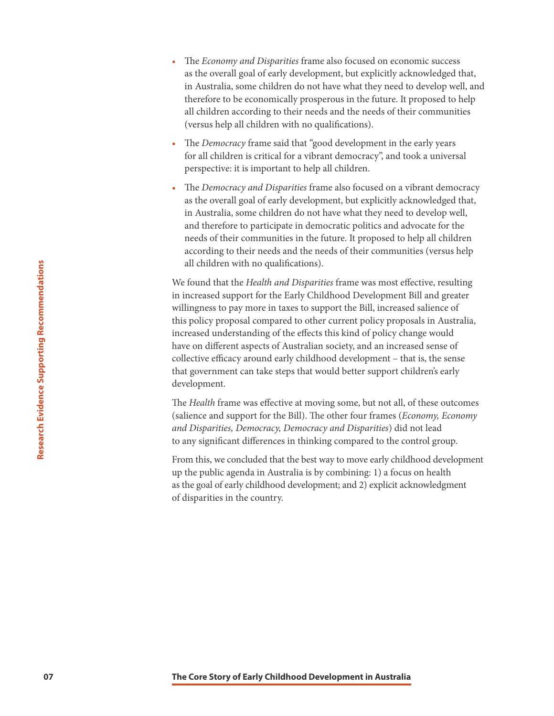- The *Economy and Disparities* frame also focused on economic success as the overall goal of early development, but explicitly acknowledged that, in Australia, some children do not have what they need to develop well, and therefore to be economically prosperous in the future. It proposed to help all children according to their needs and the needs of their communities (versus help all children with no qualifications).
- The *Democracy* frame said that "good development in the early years for all children is critical for a vibrant democracy", and took a universal perspective: it is important to help all children.
- The *Democracy and Disparities* frame also focused on a vibrant democracy as the overall goal of early development, but explicitly acknowledged that, in Australia, some children do not have what they need to develop well, and therefore to participate in democratic politics and advocate for the needs of their communities in the future. It proposed to help all children according to their needs and the needs of their communities (versus help all children with no qualifications).

all children with no qualifications).<br>
We found that the *Health and Disparities* frame was most effit<br>in increased aupport for the Early Childhood Development is<br>
willingness to pay more in taxes to support the Bill, incr We found that the *Health and Disparities* frame was most effective, resulting in increased support for the Early Childhood Development Bill and greater willingness to pay more in taxes to support the Bill, increased salience of this policy proposal compared to other current policy proposals in Australia, increased understanding of the effects this kind of policy change would have on different aspects of Australian society, and an increased sense of collective efficacy around early childhood development – that is, the sense that government can take steps that would better support children's early development.

The *Health* frame was effective at moving some, but not all, of these outcomes (salience and support for the Bill). The other four frames (*Economy, Economy and Disparities, Democracy, Democracy and Disparities*) did not lead to any significant differences in thinking compared to the control group.

From this, we concluded that the best way to move early childhood development up the public agenda in Australia is by combining: 1) a focus on health as the goal of early childhood development; and 2) explicit acknowledgment of disparities in the country.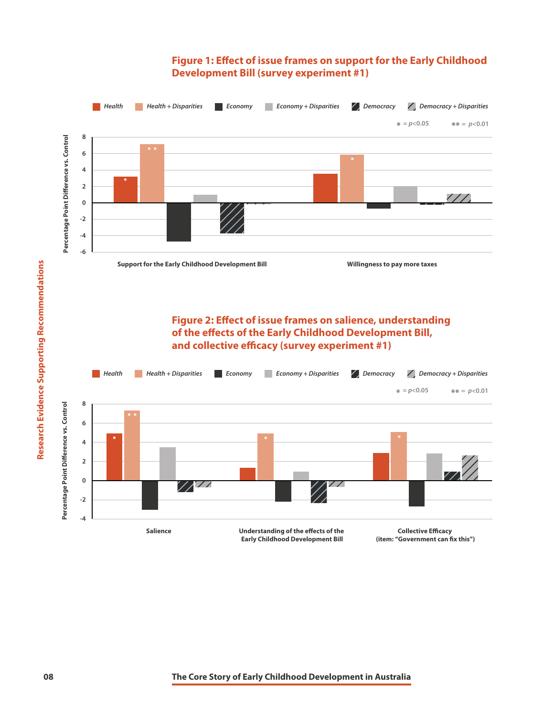#### **Figure 1: Effect of issue frames on support for the Early Childhood Development Bill (survey experiment #1)**

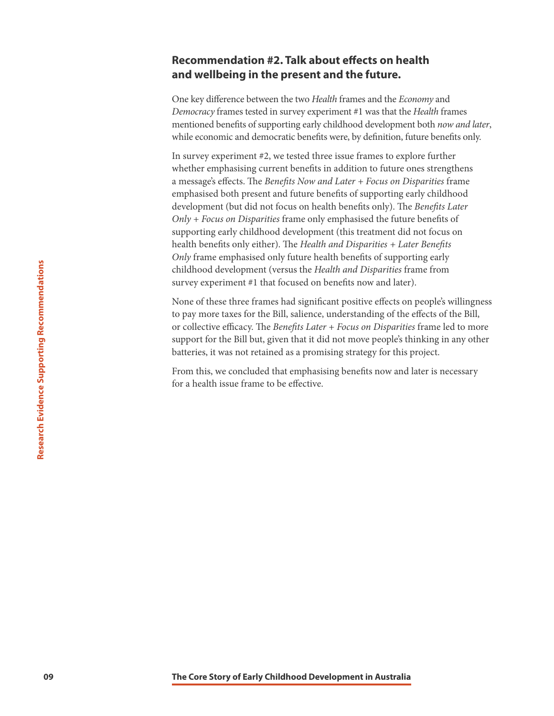#### **Recommendation #2. Talk about effects on health and wellbeing in the present and the future.**

One key difference between the two *Health* frames and the *Economy* and *Democracy* frames tested in survey experiment #1 was that the *Health* frames mentioned benefits of supporting early childhood development both *now and later*, while economic and democratic benefits were, by definition, future benefits only.

In survey experiment #2, we tested three issue frames to explore further whether emphasising current benefits in addition to future ones strengthens a message's effects. The *Benefits Now and Later + Focus on Disparities* frame emphasised both present and future benefits of supporting early childhood development (but did not focus on health benefits only). The *Benefits Later Only + Focus on Disparities* frame only emphasised the future benefits of supporting early childhood development (this treatment did not focus on health benefits only either). The *Health and Disparities + Later Benefits Only* frame emphasised only future health benefits of supporting early childhood development (versus the *Health and Disparities* frame from survey experiment #1 that focused on benefits now and later).

**Core Core Story of Early Childhood Development is and the Core Story of the Core Child Scheme Farmes has significant positive effects or to play none takes for the Bill, salience, understanding of the or collective effice** None of these three frames had significant positive effects on people's willingness to pay more taxes for the Bill, salience, understanding of the effects of the Bill, or collective efficacy. The *Benefits Later + Focus on Disparities* frame led to more support for the Bill but, given that it did not move people's thinking in any other batteries, it was not retained as a promising strategy for this project.

From this, we concluded that emphasising benefits now and later is necessary for a health issue frame to be effective.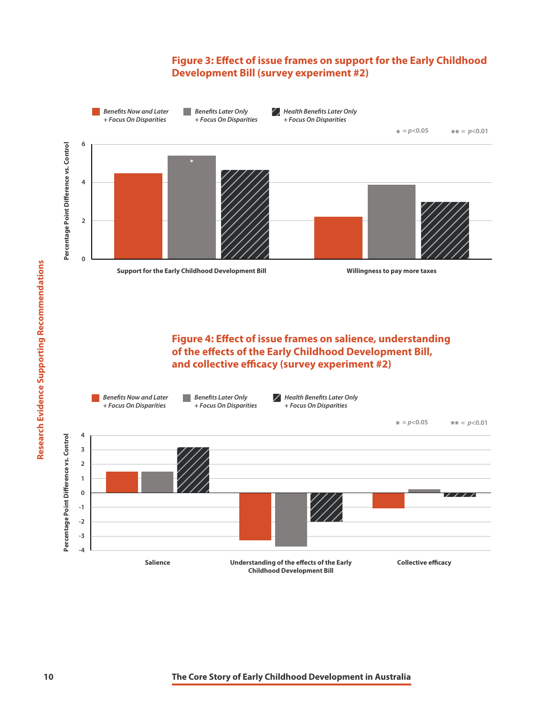#### **Figure 3: Effect of issue frames on support for the Early Childhood Development Bill (survey experiment #2)**



**Figure 4: Effect of issue frames on salience, understanding of the effects of the Early Childhood Development Bill, and collective efficacy (survey experiment #2)**

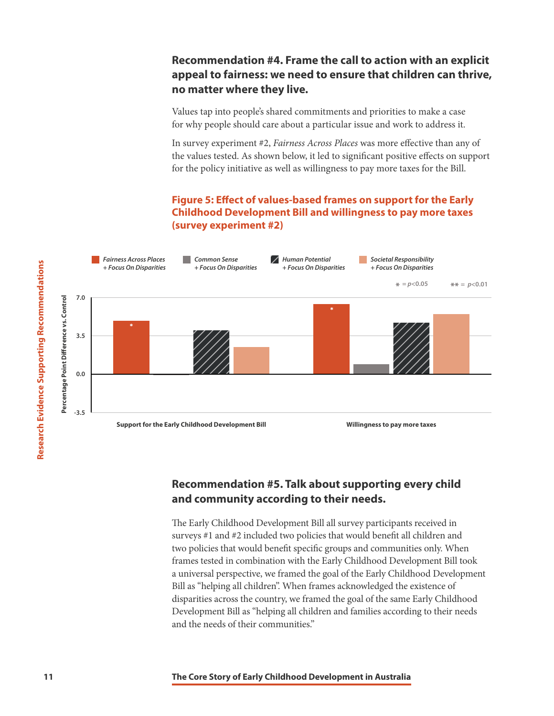#### **Recommendation #4. Frame the call to action with an explicit appeal to fairness: we need to ensure that children can thrive, no matter where they live.**

Values tap into people's shared commitments and priorities to make a case for why people should care about a particular issue and work to address it.

In survey experiment #2, *Fairness Across Places* was more effective than any of the values tested. As shown below, it led to significant positive effects on support for the policy initiative as well as willingness to pay more taxes for the Bill.

#### **Figure 5: Effect of values-based frames on support for the Early Childhood Development Bill and willingness to pay more taxes (survey experiment #2)**



#### **Recommendation #5. Talk about supporting every child and community according to their needs.**

The Early Childhood Development Bill all survey participants received in surveys #1 and #2 included two policies that would benefit all children and two policies that would benefit specific groups and communities only. When frames tested in combination with the Early Childhood Development Bill took a universal perspective, we framed the goal of the Early Childhood Development Bill as "helping all children". When frames acknowledged the existence of disparities across the country, we framed the goal of the same Early Childhood Development Bill as "helping all children and families according to their needs and the needs of their communities."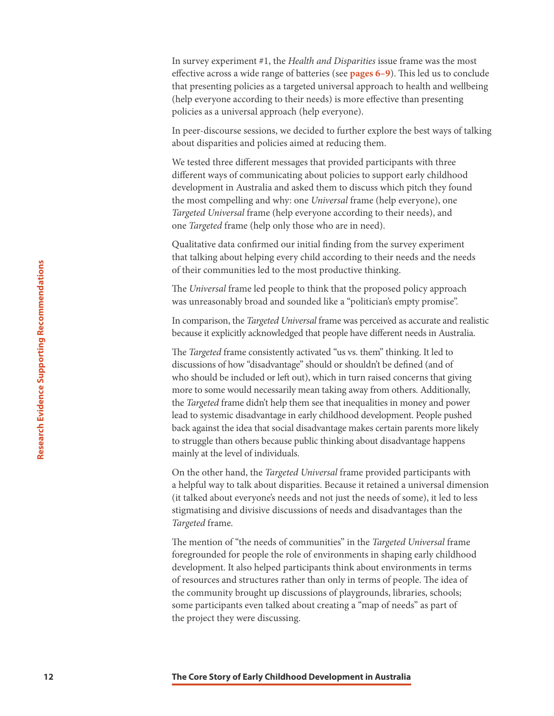In survey experiment #1, the *Health and Disparities* issue frame was the most effective across a wide range of batteries (see **[pages 6–9](#page-6-0)**). This led us to conclude that presenting policies as a targeted universal approach to health and wellbeing (help everyone according to their needs) is more effective than presenting policies as a universal approach (help everyone).

In peer-discourse sessions, we decided to further explore the best ways of talking about disparities and policies aimed at reducing them.

We tested three different messages that provided participants with three different ways of communicating about policies to support early childhood development in Australia and asked them to discuss which pitch they found the most compelling and why: one *Universal* frame (help everyone), one *Targeted Universal* frame (help everyone according to their needs), and one *Targeted* frame (help only those who are in need).

Qualitative data confirmed our initial finding from the survey experiment that talking about helping every child according to their needs and the needs of their communities led to the most productive thinking.

The *Universal* frame led people to think that the proposed policy approach was unreasonably broad and sounded like a "politician's empty promise".

In comparison, the *Targeted Universal* frame was perceived as accurate and realistic because it explicitly acknowledged that people have different needs in Australia.

For their communities led to the most productive thinking.<br>The Universal frame led people to think that the proposed post was unreasonably broad and sounded like a "politician's emperator in comparison, the *Targeted Unive* The *Targeted* frame consistently activated "us vs. them" thinking. It led to discussions of how "disadvantage" should or shouldn't be defined (and of who should be included or left out), which in turn raised concerns that giving more to some would necessarily mean taking away from others. Additionally, the *Targeted* frame didn't help them see that inequalities in money and power lead to systemic disadvantage in early childhood development. People pushed back against the idea that social disadvantage makes certain parents more likely to struggle than others because public thinking about disadvantage happens mainly at the level of individuals.

On the other hand, the *Targeted Universal* frame provided participants with a helpful way to talk about disparities. Because it retained a universal dimension (it talked about everyone's needs and not just the needs of some), it led to less stigmatising and divisive discussions of needs and disadvantages than the *Targeted* frame.

The mention of "the needs of communities" in the *Targeted Universal* frame foregrounded for people the role of environments in shaping early childhood development. It also helped participants think about environments in terms of resources and structures rather than only in terms of people. The idea of the community brought up discussions of playgrounds, libraries, schools; some participants even talked about creating a "map of needs" as part of the project they were discussing.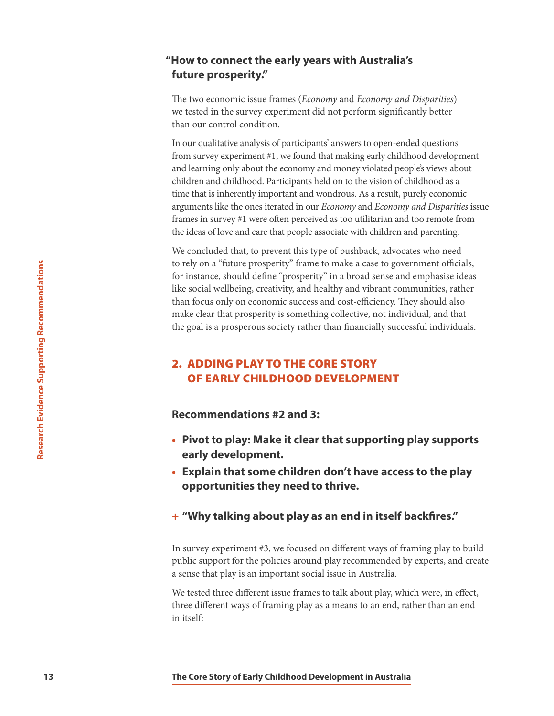#### **"How to connect the early years with Australia's future prosperity."**

The two economic issue frames (*Economy* and *Economy and Disparities*) we tested in the survey experiment did not perform significantly better than our control condition.

In our qualitative analysis of participants' answers to open-ended questions from survey experiment #1, we found that making early childhood development and learning only about the economy and money violated people's views about children and childhood. Participants held on to the vision of childhood as a time that is inherently important and wondrous. As a result, purely economic arguments like the ones iterated in our *Economy* and *Economy and Disparities* issue frames in survey #1 were often perceived as too utilitarian and too remote from the ideas of love and care that people associate with children and parenting.

**13 13 IDENT INTERT (13 THERE INTERT CORE STORY** (**Transformation** Constrained Core Supporting method and for monoching children (110) the following children (110) the paral of the goal is a prosperous society rather We concluded that, to prevent this type of pushback, advocates who need to rely on a "future prosperity" frame to make a case to government officials, for instance, should define "prosperity" in a broad sense and emphasise ideas like social wellbeing, creativity, and healthy and vibrant communities, rather than focus only on economic success and cost-efficiency. They should also make clear that prosperity is something collective, not individual, and that the goal is a prosperous society rather than financially successful individuals.

#### 2. ADDING PLAY TO THE CORE STORY OF EARLY CHILDHOOD DEVELOPMENT

**Recommendations #2 and 3:**

- **• Pivot to play: Make it clear that supporting play supports early development.**
- **• Explain that some children don't have access to the play opportunities they need to thrive.**

#### **+ "Why talking about play as an end in itself backfires."**

In survey experiment #3, we focused on different ways of framing play to build public support for the policies around play recommended by experts, and create a sense that play is an important social issue in Australia.

We tested three different issue frames to talk about play, which were, in effect, three different ways of framing play as a means to an end, rather than an end in itself: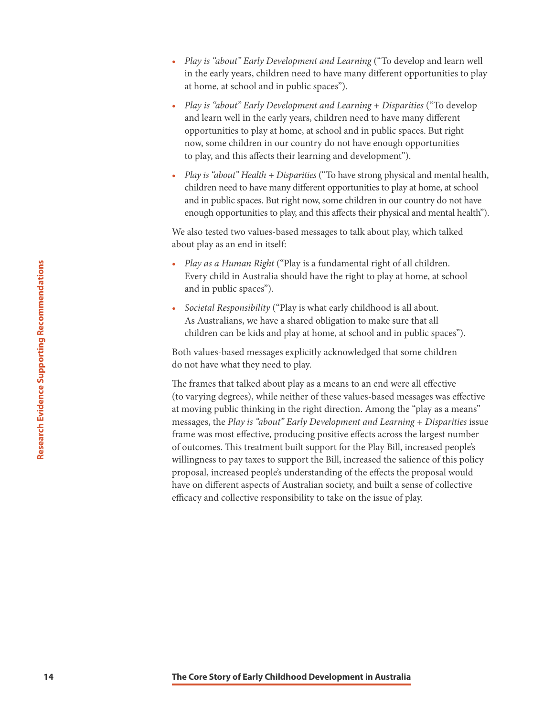- *Play is "about" Early Development and Learning* ("To develop and learn well in the early years, children need to have many different opportunities to play at home, at school and in public spaces").
- *Play is "about" Early Development and Learning + Disparities* ("To develop and learn well in the early years, children need to have many different opportunities to play at home, at school and in public spaces. But right now, some children in our country do not have enough opportunities to play, and this affects their learning and development").
- *Play is "about" Health + Disparities* ("To have strong physical and mental health, children need to have many different opportunities to play at home, at school and in public spaces. But right now, some children in our country do not have enough opportunities to play, and this affects their physical and mental health").

We also tested two values-based messages to talk about play, which talked about play as an end in itself:

- *Play as a Human Right* ("Play is a fundamental right of all children. Every child in Australia should have the right to play at home, at school and in public spaces").
- *Societal Responsibility* ("Play is what early childhood is all about. As Australians, we have a shared obligation to make sure that all children can be kids and play at home, at school and in public spaces").

Both values-based messages explicitly acknowledged that some children do not have what they need to play.

**2 Examples 2 The Core Story of Early (The Core Story of The Core Story of Core Support and in public spaces").**<br> **14 Societal Responsibility ("Play is what early childhood is all and in public spaces").**<br> **45** *Aust* The frames that talked about play as a means to an end were all effective (to varying degrees), while neither of these values-based messages was effective at moving public thinking in the right direction. Among the "play as a means" messages, the *Play is "about" Early Development and Learning + Disparities* issue frame was most effective, producing positive effects across the largest number of outcomes. This treatment built support for the Play Bill, increased people's willingness to pay taxes to support the Bill, increased the salience of this policy proposal, increased people's understanding of the effects the proposal would have on different aspects of Australian society, and built a sense of collective efficacy and collective responsibility to take on the issue of play.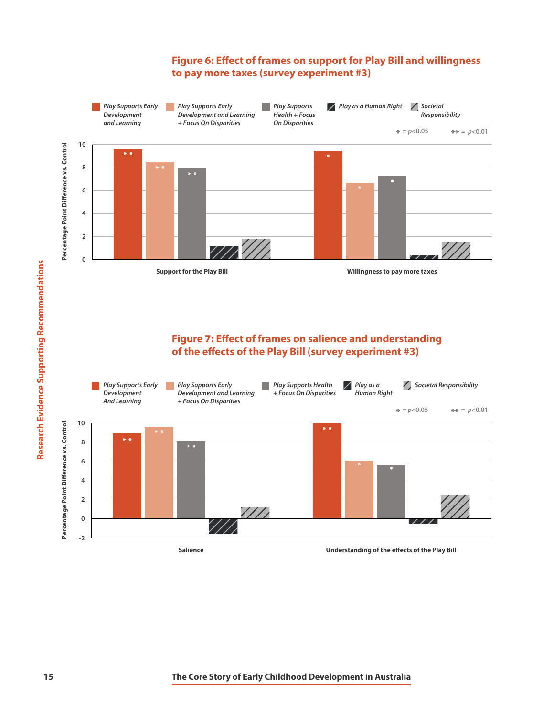#### **Figure 6: Effect of frames on support for Play Bill and willingness to pay more taxes (survey experiment #3)**



#### **Figure 7: Effect of frames on salience and understanding of the effects of the Play Bill (survey experiment #3)**

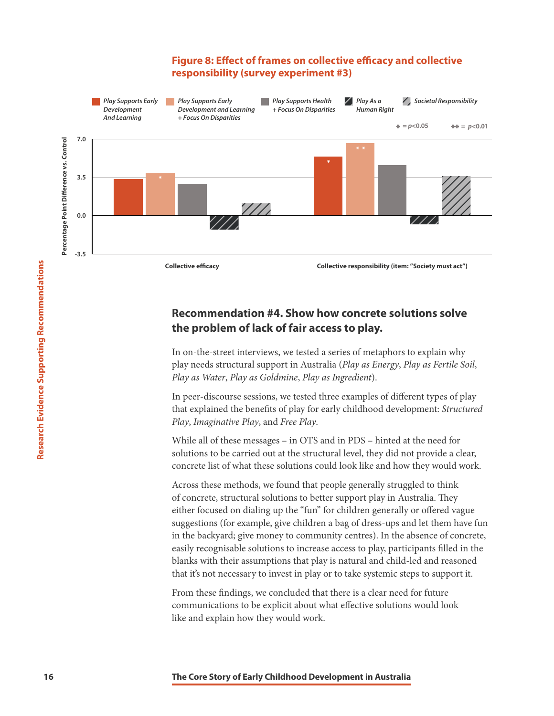#### **Figure 8: Effect of frames on collective efficacy and collective responsibility (survey experiment #3)**



#### **Recommendation #4. Show how concrete solutions solve the problem of lack of fair access to play.**

In on-the-street interviews, we tested a series of metaphors to explain why play needs structural support in Australia (*Play as Energy*, *Play as Fertile Soil*, *Play as Water*, *Play as Goldmine*, *Play as Ingredient*).

In peer-discourse sessions, we tested three examples of different types of play that explained the benefits of play for early childhood development: *Structured Play*, *Imaginative Play*, and *Free Play*.

While all of these messages – in OTS and in PDS – hinted at the need for solutions to be carried out at the structural level, they did not provide a clear, concrete list of what these solutions could look like and how they would work.

**16 16 Collective efficially** (Item:<br> **16 Collective responsibility (Item:**<br> **16 Decommendation #4. Show how concrete solution**<br> **16 In on-the-strett interviews, we tested a series of metaphors to<br>
play and Water** Across these methods, we found that people generally struggled to think of concrete, structural solutions to better support play in Australia. They either focused on dialing up the "fun" for children generally or offered vague suggestions (for example, give children a bag of dress-ups and let them have fun in the backyard; give money to community centres). In the absence of concrete, easily recognisable solutions to increase access to play, participants filled in the blanks with their assumptions that play is natural and child-led and reasoned that it's not necessary to invest in play or to take systemic steps to support it.

From these findings, we concluded that there is a clear need for future communications to be explicit about what effective solutions would look like and explain how they would work.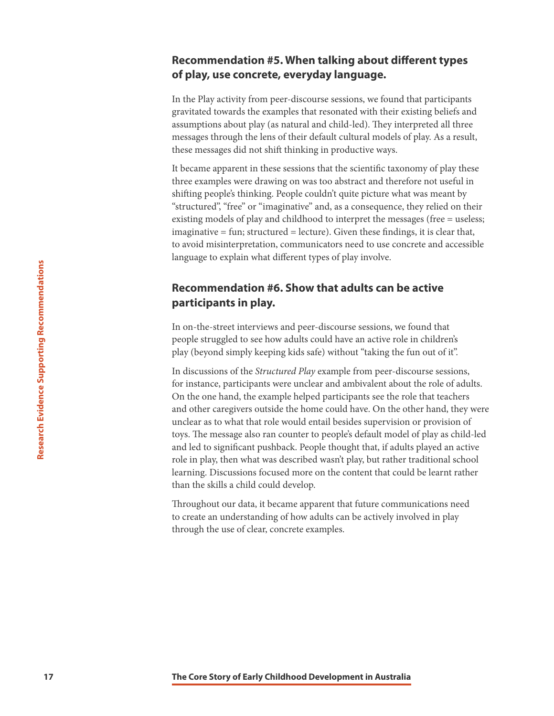#### **Recommendation #5. When talking about different types of play, use concrete, everyday language.**

In the Play activity from peer-discourse sessions, we found that participants gravitated towards the examples that resonated with their existing beliefs and assumptions about play (as natural and child-led). They interpreted all three messages through the lens of their default cultural models of play. As a result, these messages did not shift thinking in productive ways.

It became apparent in these sessions that the scientific taxonomy of play these three examples were drawing on was too abstract and therefore not useful in shifting people's thinking. People couldn't quite picture what was meant by "structured", "free" or "imaginative" and, as a consequence, they relied on their existing models of play and childhood to interpret the messages (free = useless; imaginative = fun; structured = lecture). Given these findings, it is clear that, to avoid misinterpretation, communicators need to use concrete and accessible language to explain what different types of play involve.

#### **Recommendation #6. Show that adults can be active participants in play.**

In on-the-street interviews and peer-discourse sessions, we found that people struggled to see how adults could have an active role in children's play (beyond simply keeping kids safe) without "taking the fun out of it".

**17 17 IP: Core Core Story of Early Childhood Development in Australia <b>The Core Story of Early Childhood Development in Australia Childhood Supportions 17 Core Story of Early (beyond simply keeping kids safe) wi** In discussions of the *Structured Play* example from peer-discourse sessions, for instance, participants were unclear and ambivalent about the role of adults. On the one hand, the example helped participants see the role that teachers and other caregivers outside the home could have. On the other hand, they were unclear as to what that role would entail besides supervision or provision of toys. The message also ran counter to people's default model of play as child-led and led to significant pushback. People thought that, if adults played an active role in play, then what was described wasn't play, but rather traditional school learning. Discussions focused more on the content that could be learnt rather than the skills a child could develop.

Throughout our data, it became apparent that future communications need to create an understanding of how adults can be actively involved in play through the use of clear, concrete examples.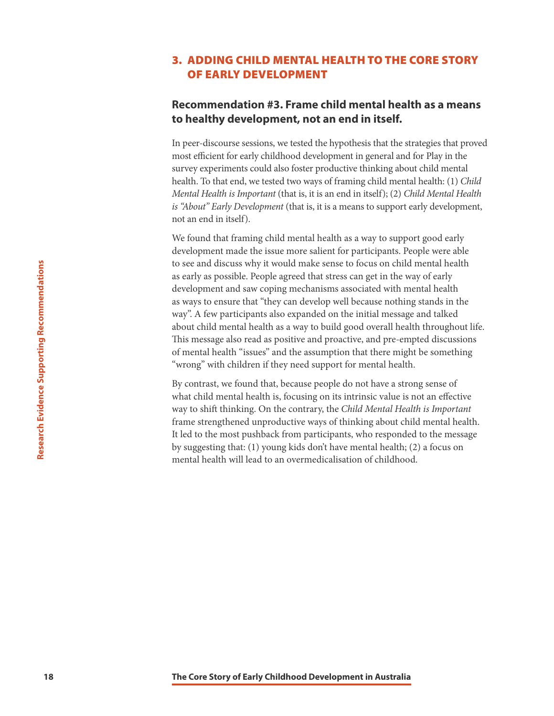#### 3. ADDING CHILD MENTAL HEALTH TO THE CORE STORY OF EARLY DEVELOPMENT

#### **Recommendation #3. Frame child mental health as a means to healthy development, not an end in itself.**

In peer-discourse sessions, we tested the hypothesis that the strategies that proved most efficient for early childhood development in general and for Play in the survey experiments could also foster productive thinking about child mental health. To that end, we tested two ways of framing child mental health: (1) *Child Mental Health is Important* (that is, it is an end in itself); (2) *Child Mental Health is "About" Early Development* (that is, it is a means to support early development, not an end in itself).

**18 as way to see and discuss why it would make sense to locus on child<br>as early is easy to ensure that "they can development and saw coping mechanisms associated with m<br>as way to ensure that "they can develop well becau** We found that framing child mental health as a way to support good early development made the issue more salient for participants. People were able to see and discuss why it would make sense to focus on child mental health as early as possible. People agreed that stress can get in the way of early development and saw coping mechanisms associated with mental health as ways to ensure that "they can develop well because nothing stands in the way". A few participants also expanded on the initial message and talked about child mental health as a way to build good overall health throughout life. This message also read as positive and proactive, and pre-empted discussions of mental health "issues" and the assumption that there might be something "wrong" with children if they need support for mental health.

By contrast, we found that, because people do not have a strong sense of what child mental health is, focusing on its intrinsic value is not an effective way to shift thinking. On the contrary, the *Child Mental Health is Important*  frame strengthened unproductive ways of thinking about child mental health. It led to the most pushback from participants, who responded to the message by suggesting that: (1) young kids don't have mental health; (2) a focus on mental health will lead to an overmedicalisation of childhood.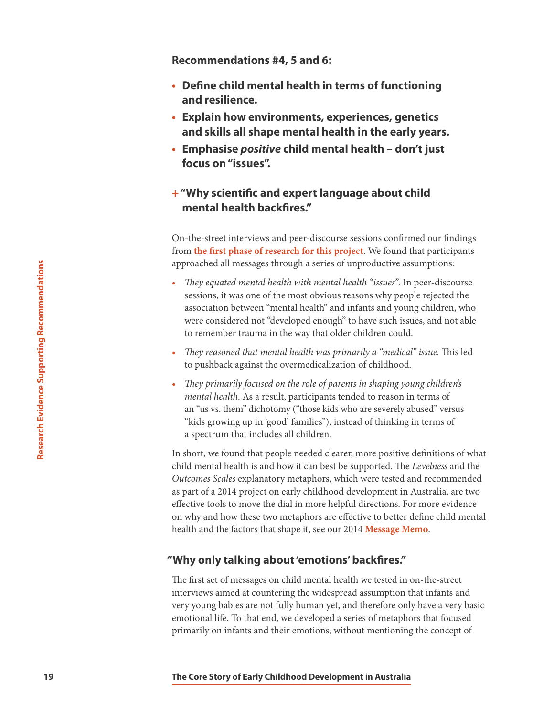**Recommendations #4, 5 and 6:**

- **• Define child mental health in terms of functioning and resilience.**
- **• Explain how environments, experiences, genetics and skills all shape mental health in the early years.**
- **• Emphasise** *positive* **child mental health don't just focus on "issues".**

#### **+ "Why scientific and expert language about child mental health backfires."**

On-the-street interviews and peer-discourse sessions confirmed our findings from **[the first phase of research for this project](https://www.frameworksinstitute.org/assets/files/Australia/colab_mtgreport_2019.pdf)**. We found that participants approached all messages through a series of unproductive assumptions:

- *They equated mental health with mental health "issues".* In peer-discourse sessions, it was one of the most obvious reasons why people rejected the association between "mental health" and infants and young children, who were considered not "developed enough" to have such issues, and not able to remember trauma in the way that older children could.
- *They reasoned that mental health was primarily a "medical" issue.* This led to pushback against the overmedicalization of childhood.
- *They primarily focused on the role of parents in shaping young children's mental health*. As a result, participants tended to reason in terms of an "us vs. them" dichotomy ("those kids who are severely abused" versus "kids growing up in 'good' families"), instead of thinking in terms of a spectrum that includes all children.

**1992**<br> **1992 1992 1992 1992 1992 1993 1993 1993 1993 1993 1993 1993 1993 1993 1993 1993 1993 1993 1993 1993 1993 1993 1993 1993 1993 1993 1993 1993 1993 1993 199** In short, we found that people needed clearer, more positive definitions of what child mental health is and how it can best be supported. The *Levelness* and the *Outcomes Scales* explanatory metaphors, which were tested and recommended as part of a 2014 project on early childhood development in Australia, are two effective tools to move the dial in more helpful directions. For more evidence on why and how these two metaphors are effective to better define child mental health and the factors that shape it, see our 2014 **[Message Memo](http://frameworksinstitute.org/assets/files/Australia/au_mm.pdf)**.

#### **"Why only talking about 'emotions' backfires."**

The first set of messages on child mental health we tested in on-the-street interviews aimed at countering the widespread assumption that infants and very young babies are not fully human yet, and therefore only have a very basic emotional life. To that end, we developed a series of metaphors that focused primarily on infants and their emotions, without mentioning the concept of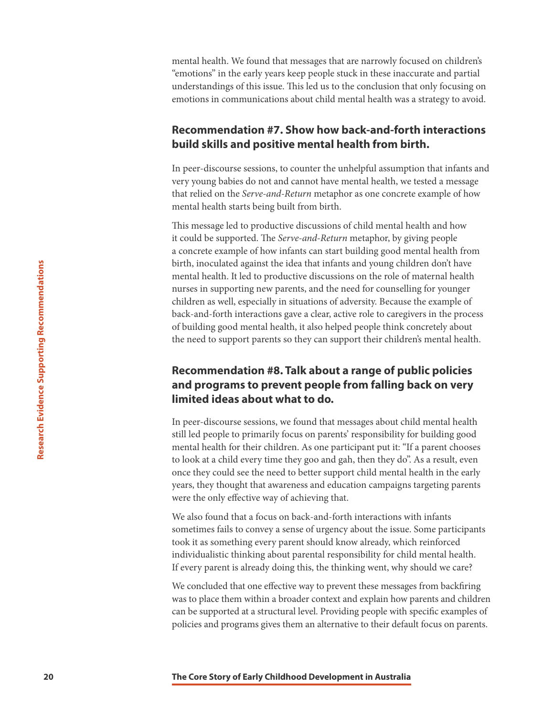mental health. We found that messages that are narrowly focused on children's "emotions" in the early years keep people stuck in these inaccurate and partial understandings of this issue. This led us to the conclusion that only focusing on emotions in communications about child mental health was a strategy to avoid.

#### **Recommendation #7. Show how back-and-forth interactions build skills and positive mental health from birth.**

In peer-discourse sessions, to counter the unhelpful assumption that infants and very young babies do not and cannot have mental health, we tested a message that relied on the *Serve-and-Return* metaphor as one concrete example of how mental health starts being built from birth.

This message led to productive discussions of child mental health and how it could be supported. The *Serve-and-Return* metaphor, by giving people a concrete example of how infants can start building good mental health from birth, inoculated against the idea that infants and young children don't have mental health. It led to productive discussions on the role of maternal health nurses in supporting new parents, and the need for counselling for younger children as well, especially in situations of adversity. Because the example of back-and-forth interactions gave a clear, active role to caregivers in the process of building good mental health, it also helped people think concretely about the need to support parents so they can support their children's mental health.

#### **Recommendation #8. Talk about a range of public policies and programs to prevent people from falling back on very limited ideas about what to do.**

**20 Example 12 The Core Story of The Core Story of the Core Story of the Core Story of the Core Supporting Rev parents, and the need for counseline children as well, especially in situations of adversity. Because beach** In peer-discourse sessions, we found that messages about child mental health still led people to primarily focus on parents' responsibility for building good mental health for their children. As one participant put it: "If a parent chooses to look at a child every time they goo and gah, then they do". As a result, even once they could see the need to better support child mental health in the early years, they thought that awareness and education campaigns targeting parents were the only effective way of achieving that.

We also found that a focus on back-and-forth interactions with infants sometimes fails to convey a sense of urgency about the issue. Some participants took it as something every parent should know already, which reinforced individualistic thinking about parental responsibility for child mental health. If every parent is already doing this, the thinking went, why should we care?

We concluded that one effective way to prevent these messages from backfiring was to place them within a broader context and explain how parents and children can be supported at a structural level. Providing people with specific examples of policies and programs gives them an alternative to their default focus on parents.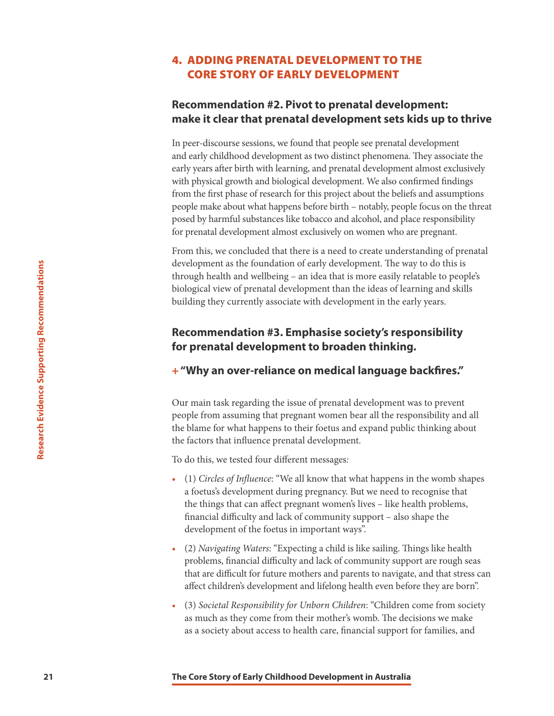#### 4. ADDING PRENATAL DEVELOPMENT TO THE CORE STORY OF EARLY DEVELOPMENT

#### **Recommendation #2. Pivot to prenatal development: make it clear that prenatal development sets kids up to thrive**

In peer-discourse sessions, we found that people see prenatal development and early childhood development as two distinct phenomena. They associate the early years after birth with learning, and prenatal development almost exclusively with physical growth and biological development. We also confirmed findings from the first phase of research for this project about the beliefs and assumptions people make about what happens before birth – notably, people focus on the threat posed by harmful substances like tobacco and alcohol, and place responsibility for prenatal development almost exclusively on women who are pregnant.

From this, we concluded that there is a need to create understanding of prenatal development as the foundation of early development. The way to do this is through health and wellbeing – an idea that is more easily relatable to people's biological view of prenatal development than the ideas of learning and skills building they currently associate with development in the early years.

#### **Recommendation #3. Emphasise society's responsibility for prenatal development to broaden thinking.**

#### **+ "Why an over-reliance on medical language backfires."**

Our main task regarding the issue of prenatal development was to prevent people from assuming that pregnant women bear all the responsibility and all the blame for what happens to their foetus and expand public thinking about the factors that influence prenatal development.

To do this, we tested four different messages*:*

- **221** development as the foundation of early development the wouldware three core Support (The Woodynamia Core Support and the search point of the core Support Childing they currently associate with development in the and • (1) *Circles of Influence*: "We all know that what happens in the womb shapes a foetus's development during pregnancy. But we need to recognise that the things that can affect pregnant women's lives – like health problems, financial difficulty and lack of community support – also shape the development of the foetus in important ways".
	- (2) *Navigating Waters*: "Expecting a child is like sailing. Things like health problems, financial difficulty and lack of community support are rough seas that are difficult for future mothers and parents to navigate, and that stress can affect children's development and lifelong health even before they are born".
	- (3) *Societal Responsibility for Unborn Children*: "Children come from society as much as they come from their mother's womb. The decisions we make as a society about access to health care, financial support for families, and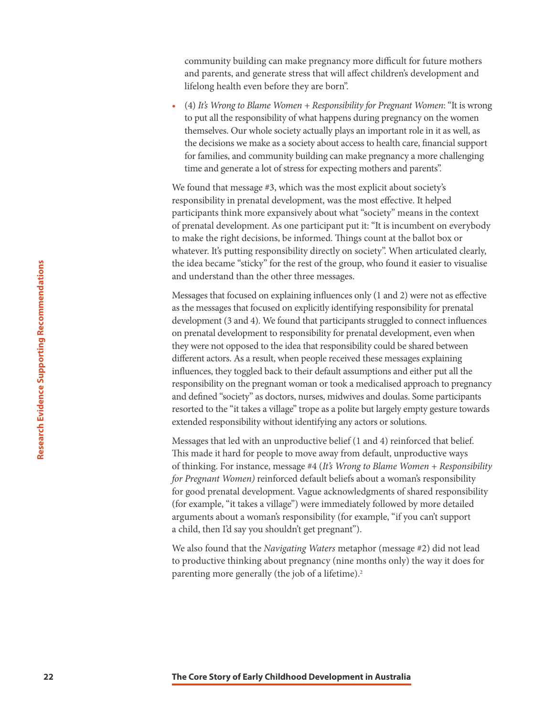community building can make pregnancy more difficult for future mothers and parents, and generate stress that will affect children's development and lifelong health even before they are born".

• (4) *It's Wrong to Blame Women + Responsibility for Pregnant Women*: "It is wrong to put all the responsibility of what happens during pregnancy on the women themselves. Our whole society actually plays an important role in it as well, as the decisions we make as a society about access to health care, financial support for families, and community building can make pregnancy a more challenging time and generate a lot of stress for expecting mothers and parents".

We found that message #3, which was the most explicit about society's responsibility in prenatal development, was the most effective. It helped participants think more expansively about what "society" means in the context of prenatal development. As one participant put it: "It is incumbent on everybody to make the right decisions, be informed. Things count at the ballot box or whatever. It's putting responsibility directly on society". When articulated clearly, the idea became "sticky" for the rest of the group, who found it easier to visualise and understand than the other three messages.

**22 Example 12 The Core Story of The Farly Childhood Person (at the group, who found by and the messages that focused on explaining influences only (1 and 2) as the messages that focused on explaining influences only (** Messages that focused on explaining influences only (1 and 2) were not as effective as the messages that focused on explicitly identifying responsibility for prenatal development (3 and 4). We found that participants struggled to connect influences on prenatal development to responsibility for prenatal development, even when they were not opposed to the idea that responsibility could be shared between different actors. As a result, when people received these messages explaining influences, they toggled back to their default assumptions and either put all the responsibility on the pregnant woman or took a medicalised approach to pregnancy and defined "society" as doctors, nurses, midwives and doulas. Some participants resorted to the "it takes a village" trope as a polite but largely empty gesture towards extended responsibility without identifying any actors or solutions.

Messages that led with an unproductive belief (1 and 4) reinforced that belief. This made it hard for people to move away from default, unproductive ways of thinking. For instance, message #4 (*It's Wrong to Blame Women + Responsibility for Pregnant Women)* reinforced default beliefs about a woman's responsibility for good prenatal development. Vague acknowledgments of shared responsibility (for example, "it takes a village") were immediately followed by more detailed arguments about a woman's responsibility (for example, "if you can't support a child, then I'd say you shouldn't get pregnant").

We also found that the *Navigating Waters* metaphor (message #2) did not lead to productive thinking about pregnancy (nine months only) the way it does for parenting more generally (the job of a lifetime).<sup>2</sup>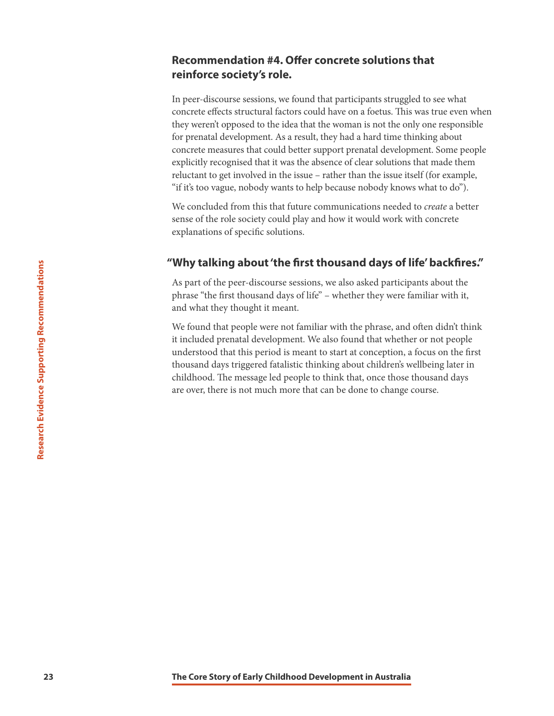#### **Recommendation #4. Offer concrete solutions that reinforce society's role.**

In peer-discourse sessions, we found that participants struggled to see what concrete effects structural factors could have on a foetus. This was true even when they weren't opposed to the idea that the woman is not the only one responsible for prenatal development. As a result, they had a hard time thinking about concrete measures that could better support prenatal development. Some people explicitly recognised that it was the absence of clear solutions that made them reluctant to get involved in the issue – rather than the issue itself (for example, "if it's too vague, nobody wants to help because nobody knows what to do").

We concluded from this that future communications needed to *create* a better sense of the role society could play and how it would work with concrete explanations of specific solutions.

#### **"Why talking about 'the first thousand days of life' backfires."**

As part of the peer-discourse sessions, we also asked participants about the phrase "the first thousand days of life" – whether they were familiar with it, and what they thought it meant.

**23**<br> **23 The Core Story of Eq. The Core Story of Eq. Story of the Core Story of Childhood. The phrase Supporting Recomment in Weight the phrase, and what they thought it meant.<br>
We found that prople were not familiar wi** We found that people were not familiar with the phrase, and often didn't think it included prenatal development. We also found that whether or not people understood that this period is meant to start at conception, a focus on the first thousand days triggered fatalistic thinking about children's wellbeing later in childhood. The message led people to think that, once those thousand days are over, there is not much more that can be done to change course.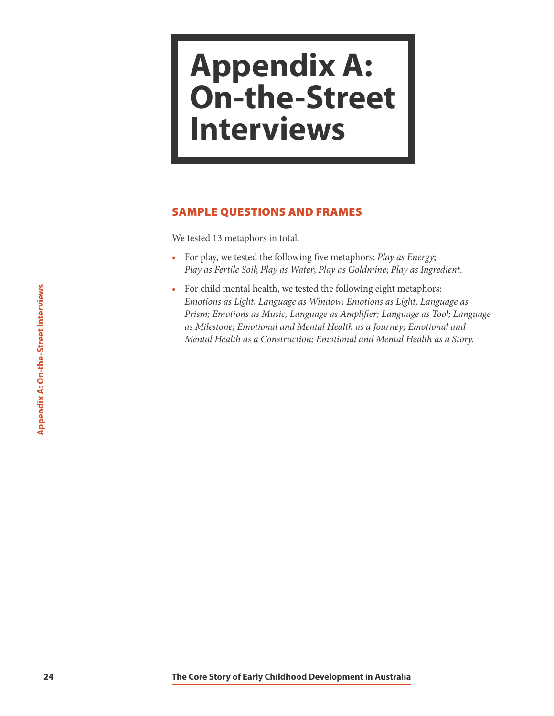### <span id="page-24-0"></span>**Appendix A: On-the-Street Interviews**

#### SAMPLE QUESTIONS AND FRAMES

We tested 13 metaphors in total.

- For play, we tested the following five metaphors: *Play as Energy*; *Play as Fertile Soil*; *Play as Water*; *Play as Goldmine*; *Play as Ingredient*.
- For child mental health, we tested the following eight mental team of *Prism; Imatons as Light, Language as Nmplifier, Language A: On-the-Street Interviews A: On-the-Street Interviews <i>Amplifier, Language as Amplifier, Lan* • For child mental health, we tested the following eight metaphors: *Emotions as Light, Language as Window; Emotions as Light, Language as Prism; Emotions as Music, Language as Amplifier; Language as Tool; Language as Milestone; Emotional and Mental Health as a Journey; Emotional and Mental Health as a Construction; Emotional and Mental Health as a Story.*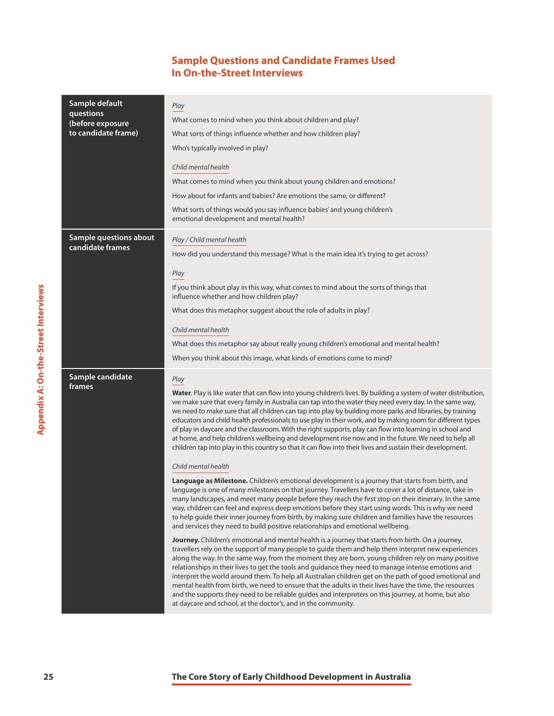#### **Sample Questions and Candidate Frames Used In On-the-Street Interviews**

|                                             | Sample default<br>questions<br>(before exposure<br>to candidate frame) | Play<br>What comes to mind when you think about children and play?<br>What sorts of things influence whether and how children play?<br>Who's typically involved in play?<br>Child mental health<br>What comes to mind when you think about young children and emotions?<br>How about for infants and babies? Are emotions the same, or different?<br>What sorts of things would you say influence babies' and young children's<br>emotional development and mental health?                                                                                                                                                                                                                                                                                                                                                                                                                                                                                                                                                                                                                                                                                                                                                                                                                                                                                                                                                                                                                                                                                                                                                                                                                                                                                                                                                                                                                                                                                                                                                                                                                                                                                                                                                                                                       |
|---------------------------------------------|------------------------------------------------------------------------|----------------------------------------------------------------------------------------------------------------------------------------------------------------------------------------------------------------------------------------------------------------------------------------------------------------------------------------------------------------------------------------------------------------------------------------------------------------------------------------------------------------------------------------------------------------------------------------------------------------------------------------------------------------------------------------------------------------------------------------------------------------------------------------------------------------------------------------------------------------------------------------------------------------------------------------------------------------------------------------------------------------------------------------------------------------------------------------------------------------------------------------------------------------------------------------------------------------------------------------------------------------------------------------------------------------------------------------------------------------------------------------------------------------------------------------------------------------------------------------------------------------------------------------------------------------------------------------------------------------------------------------------------------------------------------------------------------------------------------------------------------------------------------------------------------------------------------------------------------------------------------------------------------------------------------------------------------------------------------------------------------------------------------------------------------------------------------------------------------------------------------------------------------------------------------------------------------------------------------------------------------------------------------|
| <b>Appendix A: On-the-Street Interviews</b> | <b>Sample questions about</b><br>candidate frames                      | Play / Child mental health<br>How did you understand this message? What is the main idea it's trying to get across?<br>Play<br>If you think about play in this way, what comes to mind about the sorts of things that<br>influence whether and how children play?<br>What does this metaphor suggest about the role of adults in play?<br>Child mental health<br>What does this metaphor say about really young children's emotional and mental health?<br>When you think about this image, what kinds of emotions come to mind?                                                                                                                                                                                                                                                                                                                                                                                                                                                                                                                                                                                                                                                                                                                                                                                                                                                                                                                                                                                                                                                                                                                                                                                                                                                                                                                                                                                                                                                                                                                                                                                                                                                                                                                                                 |
|                                             | Sample candidate<br>frames                                             | Play<br>Water. Play is like water that can flow into young children's lives. By building a system of water distribution,<br>we make sure that every family in Australia can tap into the water they need every day. In the same way,<br>we need to make sure that all children can tap into play by building more parks and libraries, by training<br>educators and child health professionals to use play in their work, and by making room for different types<br>of play in daycare and the classroom. With the right supports, play can flow into learning in school and<br>at home, and help children's wellbeing and development rise now and in the future. We need to help all<br>children tap into play in this country so that it can flow into their lives and sustain their development.<br>Child mental health<br>Language as Milestone. Children's emotional development is a journey that starts from birth, and<br>language is one of many milestones on that journey. Travellers have to cover a lot of distance, take in<br>many landscapes, and meet many people before they reach the first stop on their itinerary. In the same<br>way, children can feel and express deep emotions before they start using words. This is why we need<br>to help guide their inner journey from birth, by making sure children and families have the resources<br>and services they need to build positive relationships and emotional wellbeing.<br>Journey. Children's emotional and mental health is a journey that starts from birth. On a journey,<br>travellers rely on the support of many people to guide them and help them interpret new experiences<br>along the way. In the same way, from the moment they are born, young children rely on many positive<br>relationships in their lives to get the tools and guidance they need to manage intense emotions and<br>interpret the world around them. To help all Australian children get on the path of good emotional and<br>mental health from birth, we need to ensure that the adults in their lives have the time, the resources<br>and the supports they need to be reliable guides and interpreters on this journey, at home, but also<br>at daycare and school, at the doctor's, and in the community. |
| 25                                          |                                                                        | The Core Story of Early Childhood Development in Australia                                                                                                                                                                                                                                                                                                                                                                                                                                                                                                                                                                                                                                                                                                                                                                                                                                                                                                                                                                                                                                                                                                                                                                                                                                                                                                                                                                                                                                                                                                                                                                                                                                                                                                                                                                                                                                                                                                                                                                                                                                                                                                                                                                                                                       |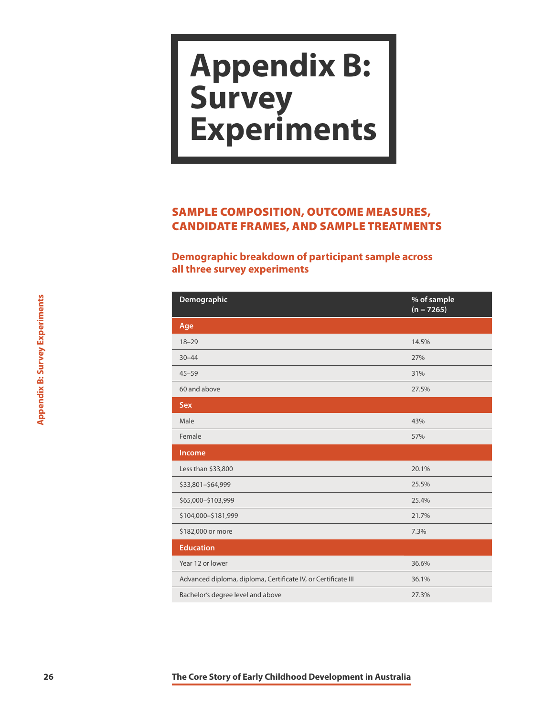### <span id="page-26-0"></span>**Appendix B: Survey Experiments**

### SAMPLE COMPOSITION, OUTCOME MEASURES, CANDIDATE FRAMES, AND SAMPLE TREATMENTS

#### **Demographic breakdown of participant sample across all three survey experiments**

| <b>Appendix B: Survey Experiments</b> | Demographic                                                   | % of sample<br>$(n = 7265)$ |
|---------------------------------------|---------------------------------------------------------------|-----------------------------|
|                                       | Age                                                           |                             |
|                                       | $18 - 29$                                                     | 14.5%                       |
|                                       | $30 - 44$                                                     | 27%                         |
|                                       | $45 - 59$                                                     | 31%                         |
|                                       | 60 and above                                                  | 27.5%                       |
|                                       | Sex                                                           |                             |
|                                       | Male                                                          | 43%                         |
|                                       | Female                                                        | 57%                         |
|                                       | Income                                                        |                             |
|                                       | Less than \$33,800                                            | 20.1%                       |
|                                       | \$33,801-\$64,999                                             | 25.5%                       |
|                                       | \$65,000-\$103,999                                            | 25.4%                       |
|                                       | \$104,000-\$181,999                                           | 21.7%                       |
|                                       | \$182,000 or more                                             | 7.3%                        |
|                                       | <b>Education</b>                                              |                             |
|                                       | Year 12 or lower                                              | 36.6%                       |
|                                       | Advanced diploma, diploma, Certificate IV, or Certificate III | 36.1%                       |
|                                       | Bachelor's degree level and above                             | 27.3%                       |
|                                       |                                                               |                             |
| 26                                    | The Core Story of Early Childhood Development in Australia    |                             |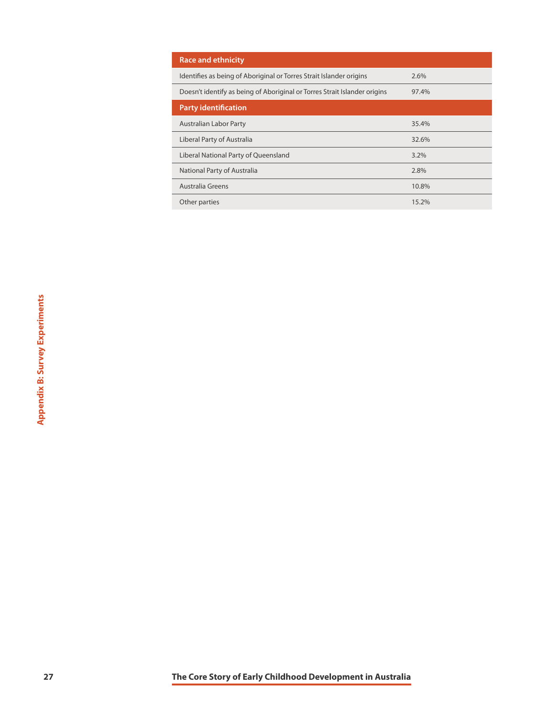| <b>Race and ethnicity</b>                                                 |       |
|---------------------------------------------------------------------------|-------|
| Identifies as being of Aboriginal or Torres Strait Islander origins       | 2.6%  |
| Doesn't identify as being of Aboriginal or Torres Strait Islander origins | 97.4% |
| <b>Party identification</b>                                               |       |
| <b>Australian Labor Party</b>                                             | 35.4% |
| Liberal Party of Australia                                                | 32.6% |
| Liberal National Party of Queensland                                      | 3.2%  |
| National Party of Australia                                               | 2.8%  |
| Australia Greens                                                          | 10.8% |
| Other parties                                                             | 15.2% |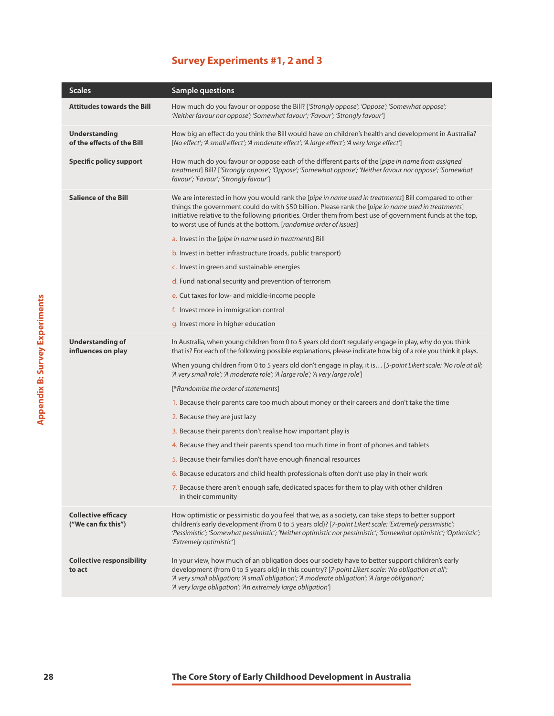#### **Survey Experiments #1, 2 and 3**

|                                | <b>Scales</b>                                      | <b>Sample questions</b>                                                                                                                                                                                                                                                                                                                                                                      |
|--------------------------------|----------------------------------------------------|----------------------------------------------------------------------------------------------------------------------------------------------------------------------------------------------------------------------------------------------------------------------------------------------------------------------------------------------------------------------------------------------|
|                                | <b>Attitudes towards the Bill</b>                  | How much do you favour or oppose the Bill? ['Strongly oppose'; 'Oppose'; 'Somewhat oppose';<br>'Neither favour nor oppose'; 'Somewhat favour'; 'Favour'; 'Strongly favour']                                                                                                                                                                                                                  |
|                                | <b>Understanding</b><br>of the effects of the Bill | How big an effect do you think the Bill would have on children's health and development in Australia?<br>[No effect'; 'A small effect'; 'A moderate effect'; 'A large effect'; 'A very large effect']                                                                                                                                                                                        |
|                                | <b>Specific policy support</b>                     | How much do you favour or oppose each of the different parts of the [pipe in name from assigned<br>treatment] Bill? ['Strongly oppose'; 'Oppose'; 'Somewhat oppose'; 'Neither favour nor oppose'; 'Somewhat<br>favour'; 'Favour'; 'Strongly favour']                                                                                                                                         |
|                                | <b>Salience of the Bill</b>                        | We are interested in how you would rank the [pipe in name used in treatments] Bill compared to other<br>things the government could do with \$50 billion. Please rank the [pipe in name used in treatments]<br>initiative relative to the following priorities. Order them from best use of government funds at the top,<br>to worst use of funds at the bottom. [randomise order of issues] |
|                                |                                                    | a. Invest in the [pipe in name used in treatments] Bill                                                                                                                                                                                                                                                                                                                                      |
|                                |                                                    | b. Invest in better infrastructure (roads, public transport)                                                                                                                                                                                                                                                                                                                                 |
|                                |                                                    | c. Invest in green and sustainable energies                                                                                                                                                                                                                                                                                                                                                  |
|                                |                                                    | d. Fund national security and prevention of terrorism                                                                                                                                                                                                                                                                                                                                        |
|                                |                                                    | e. Cut taxes for low- and middle-income people                                                                                                                                                                                                                                                                                                                                               |
|                                |                                                    | f. Invest more in immigration control                                                                                                                                                                                                                                                                                                                                                        |
|                                |                                                    | g. Invest more in higher education                                                                                                                                                                                                                                                                                                                                                           |
| Appendix B: Survey Experiments | <b>Understanding of</b><br>influences on play      | In Australia, when young children from 0 to 5 years old don't regularly engage in play, why do you think<br>that is? For each of the following possible explanations, please indicate how big of a role you think it plays.                                                                                                                                                                  |
|                                |                                                    | When young children from 0 to 5 years old don't engage in play, it is [5-point Likert scale: 'No role at all;<br>'A very small role'; 'A moderate role'; 'A large role'; 'A very large role']                                                                                                                                                                                                |
|                                |                                                    | [*Randomise the order of statements]                                                                                                                                                                                                                                                                                                                                                         |
|                                |                                                    | 1. Because their parents care too much about money or their careers and don't take the time                                                                                                                                                                                                                                                                                                  |
|                                |                                                    | 2. Because they are just lazy                                                                                                                                                                                                                                                                                                                                                                |
|                                |                                                    | 3. Because their parents don't realise how important play is                                                                                                                                                                                                                                                                                                                                 |
|                                |                                                    | 4. Because they and their parents spend too much time in front of phones and tablets                                                                                                                                                                                                                                                                                                         |
|                                |                                                    | 5. Because their families don't have enough financial resources                                                                                                                                                                                                                                                                                                                              |
|                                |                                                    | 6. Because educators and child health professionals often don't use play in their work                                                                                                                                                                                                                                                                                                       |
|                                |                                                    | 7. Because there aren't enough safe, dedicated spaces for them to play with other children<br>in their community                                                                                                                                                                                                                                                                             |
|                                | <b>Collective efficacy</b><br>("We can fix this")  | How optimistic or pessimistic do you feel that we, as a society, can take steps to better support<br>children's early development (from 0 to 5 years old)? [7-point Likert scale: 'Extremely pessimistic';<br>'Pessimistic'; 'Somewhat pessimistic'; 'Neither optimistic nor pessimistic'; 'Somewhat optimistic'; 'Optimistic';<br>'Extremely optimistic']                                   |
|                                | <b>Collective responsibility</b><br>to act         | In your view, how much of an obligation does our society have to better support children's early<br>development (from 0 to 5 years old) in this country? [7-point Likert scale: 'No obligation at all';<br>'A very small obligation; 'A small obligation'; 'A moderate obligation'; 'A large obligation';<br>'A very large obligation'; 'An extremely large obligation']                     |
|                                |                                                    |                                                                                                                                                                                                                                                                                                                                                                                              |
| 28                             |                                                    | The Core Story of Early Childhood Development in Australia                                                                                                                                                                                                                                                                                                                                   |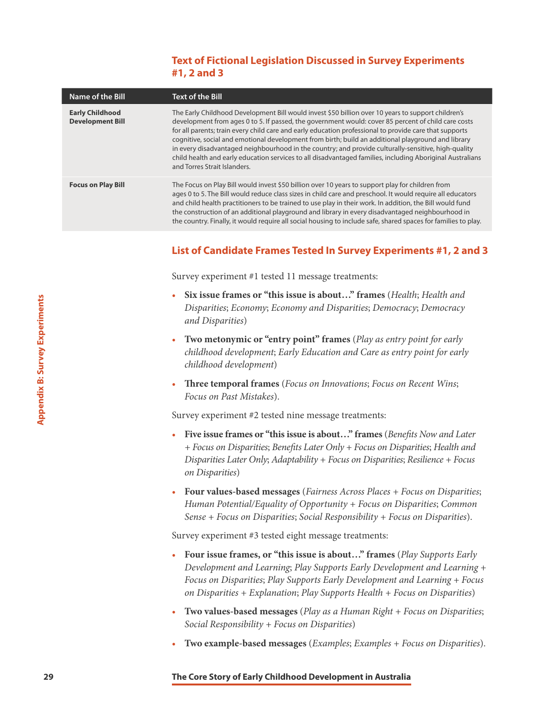#### **Text of Fictional Legislation Discussed in Survey Experiments #1, 2 and 3**

| Name of the Bill                                  | <b>Text of the Bill</b>                                                                                                                                                                                                                                                                                                                                                                                                                                                                                                                                                                                                                                                       |
|---------------------------------------------------|-------------------------------------------------------------------------------------------------------------------------------------------------------------------------------------------------------------------------------------------------------------------------------------------------------------------------------------------------------------------------------------------------------------------------------------------------------------------------------------------------------------------------------------------------------------------------------------------------------------------------------------------------------------------------------|
| <b>Early Childhood</b><br><b>Development Bill</b> | The Early Childhood Development Bill would invest \$50 billion over 10 years to support children's<br>development from ages 0 to 5. If passed, the government would: cover 85 percent of child care costs<br>for all parents; train every child care and early education professional to provide care that supports<br>cognitive, social and emotional development from birth; build an additional playground and library<br>in every disadvantaged neighbourhood in the country; and provide culturally-sensitive, high-quality<br>child health and early education services to all disadvantaged families, including Aboriginal Australians<br>and Torres Strait Islanders. |
| <b>Focus on Play Bill</b>                         | The Focus on Play Bill would invest \$50 billion over 10 years to support play for children from<br>ages 0 to 5. The Bill would reduce class sizes in child care and preschool. It would require all educators<br>and child health practitioners to be trained to use play in their work. In addition, the Bill would fund<br>the construction of an additional playground and library in every disadvantaged neighbourhood in<br>the country. Finally, it would require all social housing to include safe, shared spaces for families to play.                                                                                                                              |

#### **List of Candidate Frames Tested In Survey Experiments #1, 2 and 3**

Survey experiment #1 tested 11 message treatments:

- **Six issue frames or "this issue is about…" frames** (*Health*; *Health and Disparities*; *Economy*; *Economy and Disparities*; *Democracy*; *Democracy and Disparities*)
- **Two metonymic or "entry point" frames** (*Play as entry point for early childhood development*; *Early Education and Care as entry point for early childhood development*)
- **Three temporal frames** (*Focus on Innovations*; *Focus on Recent Wins*; *Focus on Past Mistakes*).

Survey experiment #2 tested nine message treatments:

- **Five issue frames or "this issue is about…" frames** (*Benefits Now and Later + Focus on Disparities*; *Benefits Later Only + Focus on Disparities*; *Health and Disparities Later Only*; *Adaptability + Focus on Disparities*; *Resilience + Focus on Disparities*)
- **Four values-based messages** (*Fairness Across Places + Focus on Disparities*; *Human Potential/Equality of Opportunity + Focus on Disparities*; *Common Sense + Focus on Disparities*; *Social Responsibility + Focus on Disparities*).

Survey experiment #3 tested eight message treatments:

- **29 Example 12 Core Story of Core Story of Core Story of Core Story of Core Story of Childhood development; Early pind<sup>9</sup> frames (Play as entry childhood development)<br>
<b>200 Core Story of Core Story of Core Story Appl** • **Four issue frames, or "this issue is about…" frames** (*Play Supports Early Development and Learning*; *Play Supports Early Development and Learning + Focus on Disparities*; *Play Supports Early Development and Learning + Focus on Disparities + Explanation*; *Play Supports Health + Focus on Disparities*)
	- **Two values-based messages** (*Play as a Human Right + Focus on Disparities*; *Social Responsibility + Focus on Disparities*)
	- **Two example-based messages** (*Examples*; *Examples + Focus on Disparities*).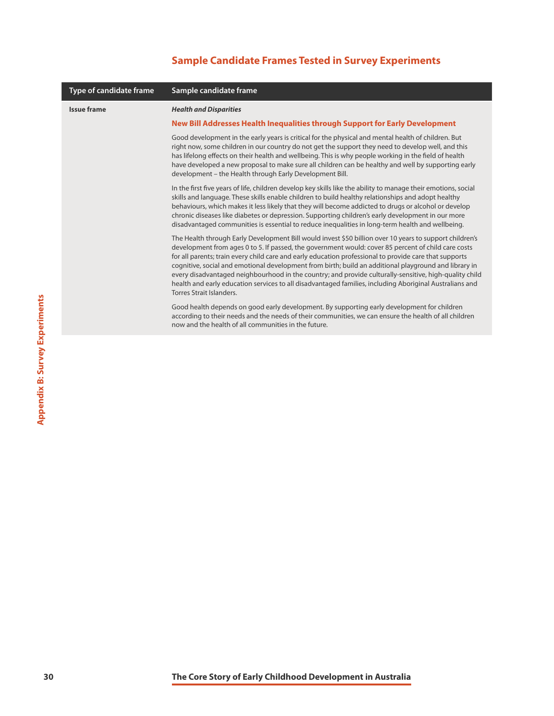#### **Sample Candidate Frames Tested in Survey Experiments**

| Type of candidate frame | Sample candidate frame                                                                                                                                                                                                                                                                                                                                                                                                                                                                                                                                                                                                                                                             |
|-------------------------|------------------------------------------------------------------------------------------------------------------------------------------------------------------------------------------------------------------------------------------------------------------------------------------------------------------------------------------------------------------------------------------------------------------------------------------------------------------------------------------------------------------------------------------------------------------------------------------------------------------------------------------------------------------------------------|
| <b>Issue frame</b>      | <b>Health and Disparities</b>                                                                                                                                                                                                                                                                                                                                                                                                                                                                                                                                                                                                                                                      |
|                         | New Bill Addresses Health Inequalities through Support for Early Development                                                                                                                                                                                                                                                                                                                                                                                                                                                                                                                                                                                                       |
|                         | Good development in the early years is critical for the physical and mental health of children. But<br>right now, some children in our country do not get the support they need to develop well, and this<br>has lifelong effects on their health and wellbeing. This is why people working in the field of health<br>have developed a new proposal to make sure all children can be healthy and well by supporting early<br>development - the Health through Early Development Bill.                                                                                                                                                                                              |
|                         | In the first five years of life, children develop key skills like the ability to manage their emotions, social<br>skills and language. These skills enable children to build healthy relationships and adopt healthy<br>behaviours, which makes it less likely that they will become addicted to drugs or alcohol or develop<br>chronic diseases like diabetes or depression. Supporting children's early development in our more<br>disadvantaged communities is essential to reduce inequalities in long-term health and wellbeing.                                                                                                                                              |
|                         | The Health through Early Development Bill would invest \$50 billion over 10 years to support children's<br>development from ages 0 to 5. If passed, the government would: cover 85 percent of child care costs<br>for all parents; train every child care and early education professional to provide care that supports<br>cognitive, social and emotional development from birth; build an additional playground and library in<br>every disadvantaged neighbourhood in the country; and provide culturally-sensitive, high-quality child<br>health and early education services to all disadvantaged families, including Aboriginal Australians and<br>Torres Strait Islanders. |
|                         | Good health depends on good early development. By supporting early development for children<br>according to their needs and the needs of their communities, we can ensure the health of all children<br>now and the health of all communities in the future.                                                                                                                                                                                                                                                                                                                                                                                                                       |
|                         |                                                                                                                                                                                                                                                                                                                                                                                                                                                                                                                                                                                                                                                                                    |
|                         |                                                                                                                                                                                                                                                                                                                                                                                                                                                                                                                                                                                                                                                                                    |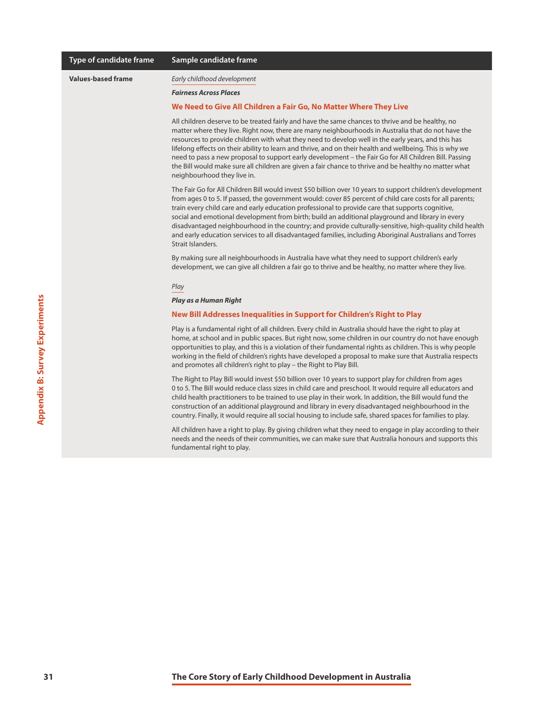| Type of candidate frame   | Sample candidate frame                                                                                                                                                                                                                                                                                                                                                                                                                                                                                                                                                                                                                                                     |
|---------------------------|----------------------------------------------------------------------------------------------------------------------------------------------------------------------------------------------------------------------------------------------------------------------------------------------------------------------------------------------------------------------------------------------------------------------------------------------------------------------------------------------------------------------------------------------------------------------------------------------------------------------------------------------------------------------------|
| <b>Values-based frame</b> | Early childhood development                                                                                                                                                                                                                                                                                                                                                                                                                                                                                                                                                                                                                                                |
|                           | <b>Fairness Across Places</b>                                                                                                                                                                                                                                                                                                                                                                                                                                                                                                                                                                                                                                              |
|                           | We Need to Give All Children a Fair Go, No Matter Where They Live                                                                                                                                                                                                                                                                                                                                                                                                                                                                                                                                                                                                          |
|                           | All children deserve to be treated fairly and have the same chances to thrive and be healthy, no<br>matter where they live. Right now, there are many neighbourhoods in Australia that do not have the<br>resources to provide children with what they need to develop well in the early years, and this has<br>lifelong effects on their ability to learn and thrive, and on their health and wellbeing. This is why we<br>need to pass a new proposal to support early development – the Fair Go for All Children Bill. Passing<br>the Bill would make sure all children are given a fair chance to thrive and be healthy no matter what<br>neighbourhood they live in.  |
|                           | The Fair Go for All Children Bill would invest \$50 billion over 10 years to support children's development<br>from ages 0 to 5. If passed, the government would: cover 85 percent of child care costs for all parents;<br>train every child care and early education professional to provide care that supports cognitive,<br>social and emotional development from birth; build an additional playground and library in every<br>disadvantaged neighbourhood in the country; and provide culturally-sensitive, high-quality child health<br>and early education services to all disadvantaged families, including Aboriginal Australians and Torres<br>Strait Islanders. |
|                           | By making sure all neighbourhoods in Australia have what they need to support children's early<br>development, we can give all children a fair go to thrive and be healthy, no matter where they live.                                                                                                                                                                                                                                                                                                                                                                                                                                                                     |
|                           | Play                                                                                                                                                                                                                                                                                                                                                                                                                                                                                                                                                                                                                                                                       |
|                           | Play as a Human Right                                                                                                                                                                                                                                                                                                                                                                                                                                                                                                                                                                                                                                                      |
|                           | New Bill Addresses Inequalities in Support for Children's Right to Play                                                                                                                                                                                                                                                                                                                                                                                                                                                                                                                                                                                                    |
|                           | Play is a fundamental right of all children. Every child in Australia should have the right to play at<br>home, at school and in public spaces. But right now, some children in our country do not have enough<br>opportunities to play, and this is a violation of their fundamental rights as children. This is why people<br>working in the field of children's rights have developed a proposal to make sure that Australia respects<br>and promotes all children's right to play - the Right to Play Bill.                                                                                                                                                            |
|                           | The Right to Play Bill would invest \$50 billion over 10 years to support play for children from ages<br>0 to 5. The Bill would reduce class sizes in child care and preschool. It would require all educators and<br>child health practitioners to be trained to use play in their work. In addition, the Bill would fund the<br>construction of an additional playground and library in every disadvantaged neighbourhood in the<br>country. Finally, it would require all social housing to include safe, shared spaces for families to play.                                                                                                                           |
|                           | All children have a right to play. By giving children what they need to engage in play according to their<br>needs and the needs of their communities, we can make sure that Australia honours and supports this<br>fundamental right to play.                                                                                                                                                                                                                                                                                                                                                                                                                             |
|                           |                                                                                                                                                                                                                                                                                                                                                                                                                                                                                                                                                                                                                                                                            |
|                           |                                                                                                                                                                                                                                                                                                                                                                                                                                                                                                                                                                                                                                                                            |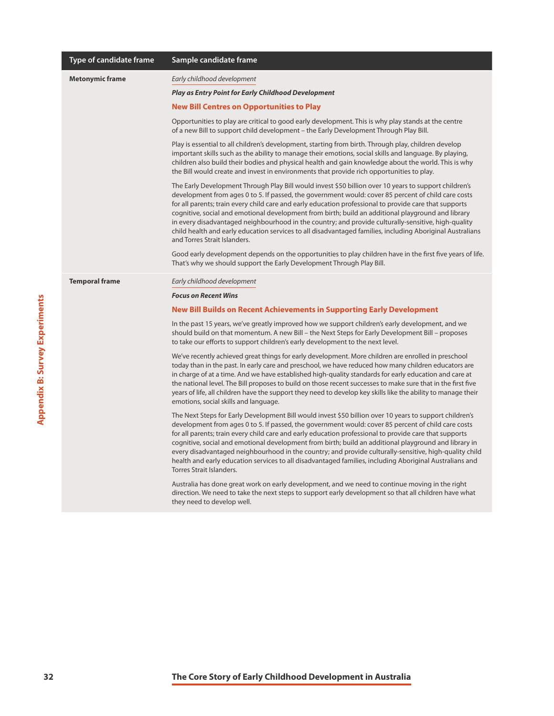|                                       | Type of candidate frame | Sample candidate frame                                                                                                                                                                                                                                                                                                                                                                                                                                                                                                                                                                                                                                                             |
|---------------------------------------|-------------------------|------------------------------------------------------------------------------------------------------------------------------------------------------------------------------------------------------------------------------------------------------------------------------------------------------------------------------------------------------------------------------------------------------------------------------------------------------------------------------------------------------------------------------------------------------------------------------------------------------------------------------------------------------------------------------------|
|                                       | <b>Metonymic frame</b>  | Early childhood development                                                                                                                                                                                                                                                                                                                                                                                                                                                                                                                                                                                                                                                        |
|                                       |                         | <b>Play as Entry Point for Early Childhood Development</b>                                                                                                                                                                                                                                                                                                                                                                                                                                                                                                                                                                                                                         |
|                                       |                         | <b>New Bill Centres on Opportunities to Play</b>                                                                                                                                                                                                                                                                                                                                                                                                                                                                                                                                                                                                                                   |
|                                       |                         | Opportunities to play are critical to good early development. This is why play stands at the centre<br>of a new Bill to support child development - the Early Development Through Play Bill.                                                                                                                                                                                                                                                                                                                                                                                                                                                                                       |
|                                       |                         | Play is essential to all children's development, starting from birth. Through play, children develop<br>important skills such as the ability to manage their emotions, social skills and language. By playing,<br>children also build their bodies and physical health and gain knowledge about the world. This is why<br>the Bill would create and invest in environments that provide rich opportunities to play.                                                                                                                                                                                                                                                                |
|                                       |                         | The Early Development Through Play Bill would invest \$50 billion over 10 years to support children's<br>development from ages 0 to 5. If passed, the government would: cover 85 percent of child care costs<br>for all parents; train every child care and early education professional to provide care that supports<br>cognitive, social and emotional development from birth; build an additional playground and library<br>in every disadvantaged neighbourhood in the country; and provide culturally-sensitive, high-quality<br>child health and early education services to all disadvantaged families, including Aboriginal Australians<br>and Torres Strait Islanders.   |
|                                       |                         | Good early development depends on the opportunities to play children have in the first five years of life.<br>That's why we should support the Early Development Through Play Bill.                                                                                                                                                                                                                                                                                                                                                                                                                                                                                                |
|                                       | <b>Temporal frame</b>   | Early childhood development                                                                                                                                                                                                                                                                                                                                                                                                                                                                                                                                                                                                                                                        |
|                                       |                         | <b>Focus on Recent Wins</b>                                                                                                                                                                                                                                                                                                                                                                                                                                                                                                                                                                                                                                                        |
|                                       |                         | New Bill Builds on Recent Achievements in Supporting Early Development                                                                                                                                                                                                                                                                                                                                                                                                                                                                                                                                                                                                             |
|                                       |                         | In the past 15 years, we've greatly improved how we support children's early development, and we<br>should build on that momentum. A new Bill - the Next Steps for Early Development Bill - proposes<br>to take our efforts to support children's early development to the next level.                                                                                                                                                                                                                                                                                                                                                                                             |
| <b>Appendix B: Survey Experiments</b> |                         | We've recently achieved great things for early development. More children are enrolled in preschool<br>today than in the past. In early care and preschool, we have reduced how many children educators are<br>in charge of at a time. And we have established high-quality standards for early education and care at<br>the national level. The Bill proposes to build on those recent successes to make sure that in the first five<br>years of life, all children have the support they need to develop key skills like the ability to manage their<br>emotions, social skills and language.                                                                                    |
|                                       |                         | The Next Steps for Early Development Bill would invest \$50 billion over 10 years to support children's<br>development from ages 0 to 5. If passed, the government would: cover 85 percent of child care costs<br>for all parents; train every child care and early education professional to provide care that supports<br>cognitive, social and emotional development from birth; build an additional playground and library in<br>every disadvantaged neighbourhood in the country; and provide culturally-sensitive, high-quality child<br>health and early education services to all disadvantaged families, including Aboriginal Australians and<br>Torres Strait Islanders. |
|                                       |                         | Australia has done great work on early development, and we need to continue moving in the right<br>direction. We need to take the next steps to support early development so that all children have what<br>they need to develop well.                                                                                                                                                                                                                                                                                                                                                                                                                                             |
|                                       |                         |                                                                                                                                                                                                                                                                                                                                                                                                                                                                                                                                                                                                                                                                                    |
|                                       |                         |                                                                                                                                                                                                                                                                                                                                                                                                                                                                                                                                                                                                                                                                                    |
| 32                                    |                         | The Core Story of Early Childhood Development in Australia                                                                                                                                                                                                                                                                                                                                                                                                                                                                                                                                                                                                                         |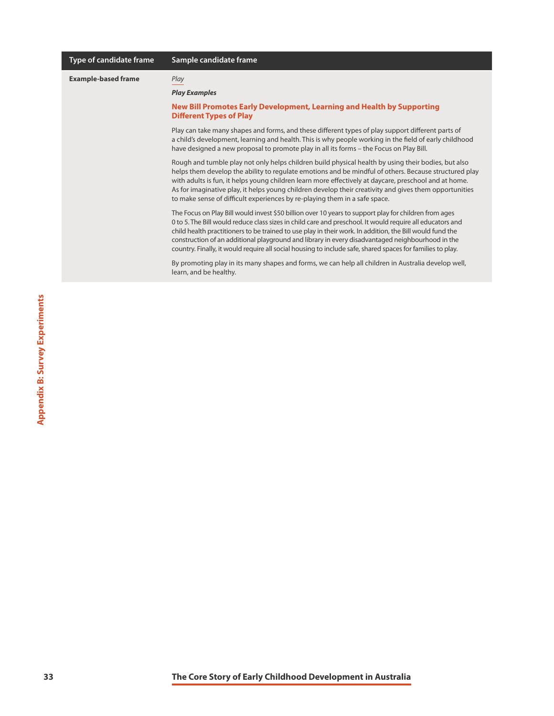| Type of candidate frame    | Sample candidate frame                                                                                                                                                                                                                                                                                                                                                                                                                                                                                                                           |
|----------------------------|--------------------------------------------------------------------------------------------------------------------------------------------------------------------------------------------------------------------------------------------------------------------------------------------------------------------------------------------------------------------------------------------------------------------------------------------------------------------------------------------------------------------------------------------------|
| <b>Example-based frame</b> | Play<br><b>Play Examples</b>                                                                                                                                                                                                                                                                                                                                                                                                                                                                                                                     |
|                            | New Bill Promotes Early Development, Learning and Health by Supporting<br><b>Different Types of Play</b>                                                                                                                                                                                                                                                                                                                                                                                                                                         |
|                            | Play can take many shapes and forms, and these different types of play support different parts of<br>a child's development, learning and health. This is why people working in the field of early childhood<br>have designed a new proposal to promote play in all its forms – the Focus on Play Bill.                                                                                                                                                                                                                                           |
|                            | Rough and tumble play not only helps children build physical health by using their bodies, but also<br>helps them develop the ability to regulate emotions and be mindful of others. Because structured play<br>with adults is fun, it helps young children learn more effectively at daycare, preschool and at home.<br>As for imaginative play, it helps young children develop their creativity and gives them opportunities<br>to make sense of difficult experiences by re-playing them in a safe space.                                    |
|                            | The Focus on Play Bill would invest \$50 billion over 10 years to support play for children from ages<br>0 to 5. The Bill would reduce class sizes in child care and preschool. It would require all educators and<br>child health practitioners to be trained to use play in their work. In addition, the Bill would fund the<br>construction of an additional playground and library in every disadvantaged neighbourhood in the<br>country. Finally, it would require all social housing to include safe, shared spaces for families to play. |
|                            | By promoting play in its many shapes and forms, we can help all children in Australia develop well,<br>learn, and be healthy.                                                                                                                                                                                                                                                                                                                                                                                                                    |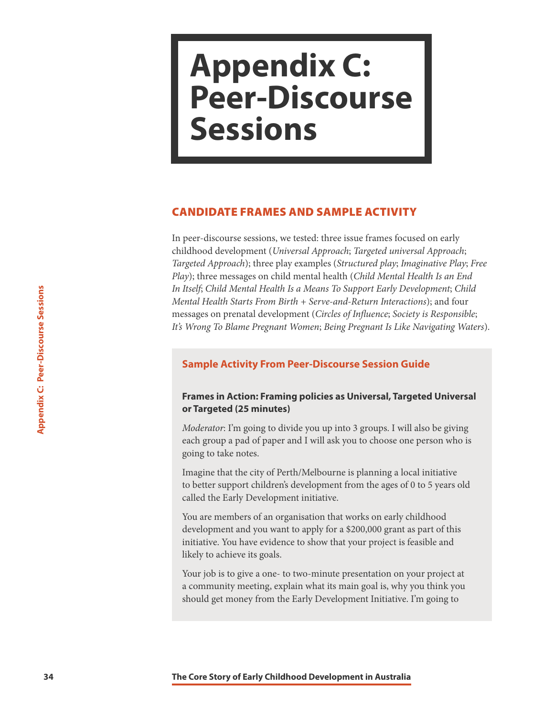### <span id="page-34-0"></span>**Appendix C: Peer-Discourse Sessions**

#### CANDIDATE FRAMES AND SAMPLE ACTIVITY

In peer-discourse sessions, we tested: three issue frames focused on early childhood development (*Universal Approach*; *Targeted universal Approach*; *Targeted Approach*); three play examples (*Structured play*; *Imaginative Play*; *Free Play*); three messages on child mental health (*Child Mental Health Is an End In Itself*; *Child Mental Health Is a Means To Support Early Development*; *Child Mental Health Starts From Birth + Serve-and-Return Interactions*); and four messages on prenatal development (*Circles of Influence*; *Society is Responsible*; *It's Wrong To Blame Pregnant Women*; *Being Pregnant Is Like Navigating Waters*).

#### **Sample Activity From Peer-Discourse Session Guide**

#### **Frames in Action: Framing policies as Universal, Targeted Universal or Targeted (25 minutes)**

*Moderator*: I'm going to divide you up into 3 groups. I will also be giving each group a pad of paper and I will ask you to choose one person who is going to take notes.

Imagine that the city of Perth/Melbourne is planning a local initiative to better support children's development from the ages of 0 to 5 years old called the Early Development initiative.

*In Itself, Child Mental Health Is a Means To Support Early Depart And Dealth Starts From Birth - Serve-and-Return Interact messages on prenatal development (<i>Circles of Influence*; Social *Its Wrong To Blame Pregnant Wome* You are members of an organisation that works on early childhood development and you want to apply for a \$200,000 grant as part of this initiative. You have evidence to show that your project is feasible and likely to achieve its goals.

Your job is to give a one- to two-minute presentation on your project at a community meeting, explain what its main goal is, why you think you should get money from the Early Development Initiative. I'm going to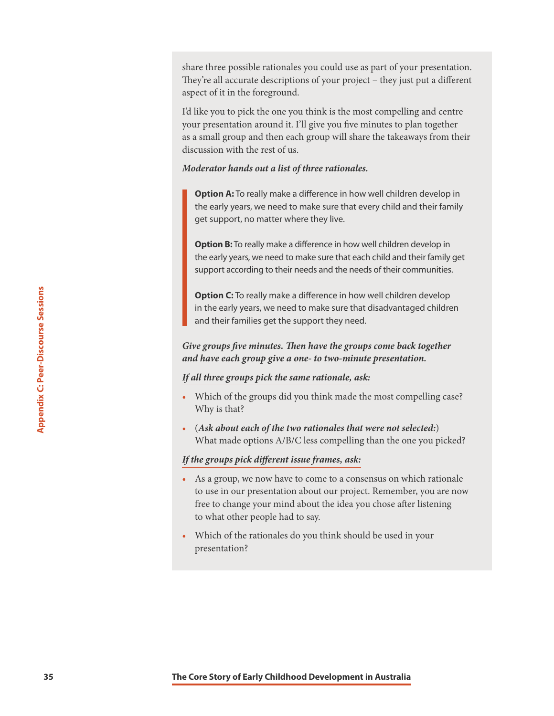share three possible rationales you could use as part of your presentation. They're all accurate descriptions of your project – they just put a different aspect of it in the foreground.

I'd like you to pick the one you think is the most compelling and centre your presentation around it. I'll give you five minutes to plan together as a small group and then each group will share the takeaways from their discussion with the rest of us.

#### *Moderator hands out a list of three rationales.*

**Option A:** To really make a difference in how well children develop in the early years, we need to make sure that every child and their family get support, no matter where they live.

**Option B:** To really make a difference in how well children develop in the early years, we need to make sure that each child and their family get support according to their needs and the needs of their communities.

**Option C:** To really make a difference in how well children develop in the early years, we need to make sure that disadvantaged children and their families get the support they need.

*Give groups five minutes. Then have the groups come back together and have each group give a one- to two-minute presentation.*

#### *If all three groups pick the same rationale, ask:*

- Which of the groups did you think made the most compelling case? Why is that?
- (*Ask about each of the two rationales that were not selected:*) What made options A/B/C less compelling than the one you picked?

#### *If the groups pick different issue frames, ask:*

- **35 Speciarion C:** To really make a difference in how well children in the early pears, we need to make sure that disadvantational data the core story of Equal the Core Story of the Store of the Store Sessions and Harve • As a group, we now have to come to a consensus on which rationale to use in our presentation about our project. Remember, you are now free to change your mind about the idea you chose after listening to what other people had to say.
	- Which of the rationales do you think should be used in your presentation?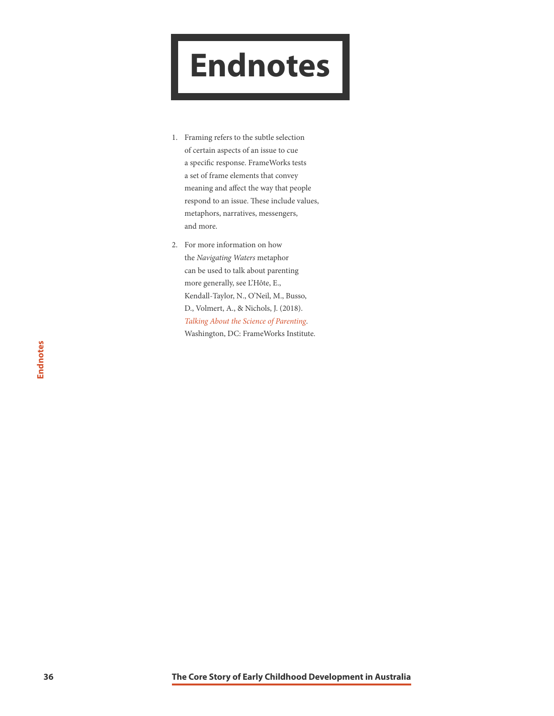## <span id="page-36-0"></span>**Endnotes**

- 1. Framing refers to the subtle selection of certain aspects of an issue to cue a specific response. FrameWorks tests a set of frame elements that convey meaning and affect the way that people respond to an issue. These include values, metaphors, narratives, messengers, and more.
- 2. For more information on how the *Navigating Waters* metaphor can be used to talk about parenting more generally, see L'Hôte, E., Kendall-Taylor, N., O'Neil, M., Busso, D., Volmert, A., & Nichols, J. (2018). *[Talking About the Science of Parenting](https://frameworksinstitute.org/assets/files/Australia/prc_message_memo_2018.pdf)*. Washington, DC: FrameWorks Institute.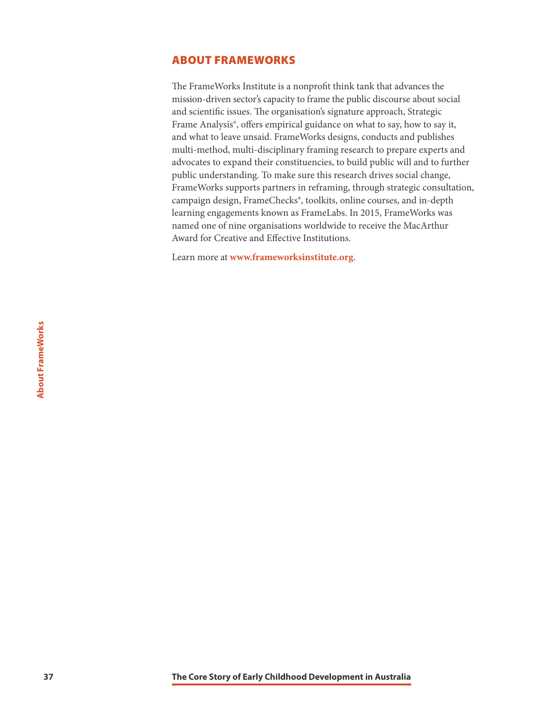#### <span id="page-37-0"></span>ABOUT FRAMEWORKS

The FrameWorks Institute is a nonprofit think tank that advances the mission-driven sector's capacity to frame the public discourse about social and scientific issues. The organisation's signature approach, Strategic Frame Analysis®, offers empirical guidance on what to say, how to say it, and what to leave unsaid. FrameWorks designs, conducts and publishes multi-method, multi-disciplinary framing research to prepare experts and advocates to expand their constituencies, to build public will and to further public understanding. To make sure this research drives social change, FrameWorks supports partners in reframing, through strategic consultation, campaign design, FrameChecks®, toolkits, online courses, and in-depth learning engagements known as FrameLabs. In 2015, FrameWorks was named one of nine organisations worldwide to receive the MacArthur Award for Creative and Effective Institutions.

Learn more at **[www.frameworksinstitute.org](http://www.frameworksinstitute.org/)**.